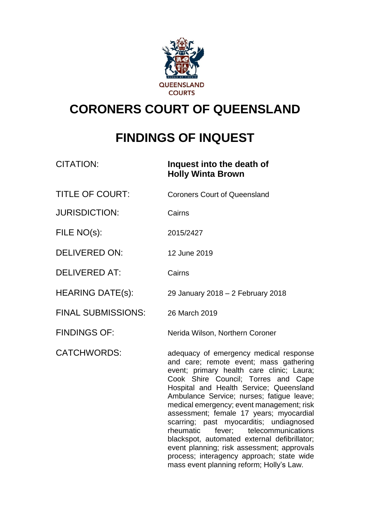

# **CORONERS COURT OF QUEENSLAND**

# **FINDINGS OF INQUEST**

| <b>CITATION:</b>          | Inquest into the death of<br><b>Holly Winta Brown</b>                                                                                                                                                                                                                                                                                                                                                                                                                                                                                                                                                                            |
|---------------------------|----------------------------------------------------------------------------------------------------------------------------------------------------------------------------------------------------------------------------------------------------------------------------------------------------------------------------------------------------------------------------------------------------------------------------------------------------------------------------------------------------------------------------------------------------------------------------------------------------------------------------------|
| <b>TITLE OF COURT:</b>    | <b>Coroners Court of Queensland</b>                                                                                                                                                                                                                                                                                                                                                                                                                                                                                                                                                                                              |
| <b>JURISDICTION:</b>      | Cairns                                                                                                                                                                                                                                                                                                                                                                                                                                                                                                                                                                                                                           |
| FILE NO(s):               | 2015/2427                                                                                                                                                                                                                                                                                                                                                                                                                                                                                                                                                                                                                        |
| <b>DELIVERED ON:</b>      | 12 June 2019                                                                                                                                                                                                                                                                                                                                                                                                                                                                                                                                                                                                                     |
| <b>DELIVERED AT:</b>      | Cairns                                                                                                                                                                                                                                                                                                                                                                                                                                                                                                                                                                                                                           |
| <b>HEARING DATE(s):</b>   | 29 January 2018 - 2 February 2018                                                                                                                                                                                                                                                                                                                                                                                                                                                                                                                                                                                                |
| <b>FINAL SUBMISSIONS:</b> | 26 March 2019                                                                                                                                                                                                                                                                                                                                                                                                                                                                                                                                                                                                                    |
| <b>FINDINGS OF:</b>       | Nerida Wilson, Northern Coroner                                                                                                                                                                                                                                                                                                                                                                                                                                                                                                                                                                                                  |
| <b>CATCHWORDS:</b>        | adequacy of emergency medical response<br>and care; remote event; mass gathering<br>event; primary health care clinic; Laura;<br>Cook Shire Council; Torres and Cape<br>Hospital and Health Service; Queensland<br>Ambulance Service; nurses; fatigue leave;<br>medical emergency; event management; risk<br>assessment; female 17 years; myocardial<br>scarring; past myocarditis; undiagnosed<br>fever; telecommunications<br>rheumatic<br>blackspot, automated external defibrillator;<br>event planning; risk assessment; approvals<br>process; interagency approach; state wide<br>mass event planning reform; Holly's Law. |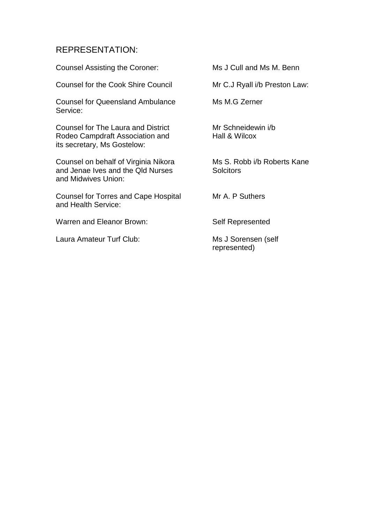# REPRESENTATION:

Counsel Assisting the Coroner: Ms J Cull and Ms M. Benn

Counsel for the Cook Shire Council Mr C.J Ryall i/b Preston Law:

Counsel for Queensland Ambulance Ms M.G Zerner Service:

Counsel for The Laura and District Mr Schneidewin i/b Rodeo Campdraft Association and Hall & Wilcox its secretary, Ms Gostelow:

Counsel on behalf of Virginia Nikora Ms S. Robb i/b Roberts Kane and Jenae Ives and the Qld Nurses Solcitors and Midwives Union:

Counsel for Torres and Cape Hospital Mr A. P Suthers and Health Service:

Warren and Eleanor Brown: Self Represented

Laura Amateur Turf Club: Ms J Sorensen (self

represented)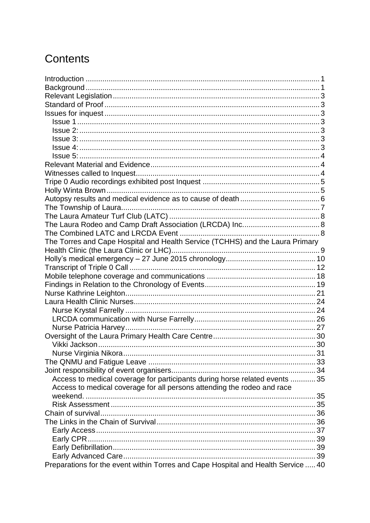# Contents

| The Torres and Cape Hospital and Health Service (TCHHS) and the Laura Primary     |  |
|-----------------------------------------------------------------------------------|--|
|                                                                                   |  |
|                                                                                   |  |
|                                                                                   |  |
|                                                                                   |  |
|                                                                                   |  |
|                                                                                   |  |
|                                                                                   |  |
|                                                                                   |  |
|                                                                                   |  |
|                                                                                   |  |
|                                                                                   |  |
|                                                                                   |  |
|                                                                                   |  |
|                                                                                   |  |
|                                                                                   |  |
| Access to medical coverage for participants during horse related events  35       |  |
| Access to medical coverage for all persons attending the rodeo and race           |  |
|                                                                                   |  |
|                                                                                   |  |
|                                                                                   |  |
|                                                                                   |  |
|                                                                                   |  |
|                                                                                   |  |
|                                                                                   |  |
|                                                                                   |  |
| Preparations for the event within Torres and Cape Hospital and Health Service  40 |  |
|                                                                                   |  |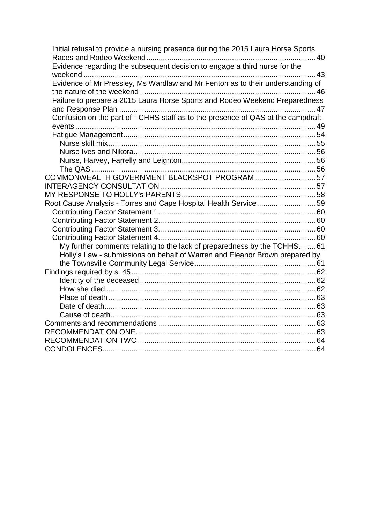| Initial refusal to provide a nursing presence during the 2015 Laura Horse Sports |  |
|----------------------------------------------------------------------------------|--|
| Evidence regarding the subsequent decision to engage a third nurse for the       |  |
|                                                                                  |  |
| Evidence of Mr Pressley, Ms Wardlaw and Mr Fenton as to their understanding of   |  |
|                                                                                  |  |
| Failure to prepare a 2015 Laura Horse Sports and Rodeo Weekend Preparedness      |  |
|                                                                                  |  |
| Confusion on the part of TCHHS staff as to the presence of QAS at the campdraft  |  |
|                                                                                  |  |
|                                                                                  |  |
|                                                                                  |  |
|                                                                                  |  |
|                                                                                  |  |
|                                                                                  |  |
| COMMONWEALTH GOVERNMENT BLACKSPOT PROGRAM  57                                    |  |
|                                                                                  |  |
|                                                                                  |  |
| Root Cause Analysis - Torres and Cape Hospital Health Service59                  |  |
|                                                                                  |  |
|                                                                                  |  |
|                                                                                  |  |
|                                                                                  |  |
| My further comments relating to the lack of preparedness by the TCHHS 61         |  |
| Holly's Law - submissions on behalf of Warren and Eleanor Brown prepared by      |  |
|                                                                                  |  |
|                                                                                  |  |
|                                                                                  |  |
|                                                                                  |  |
|                                                                                  |  |
|                                                                                  |  |
|                                                                                  |  |
|                                                                                  |  |
|                                                                                  |  |
|                                                                                  |  |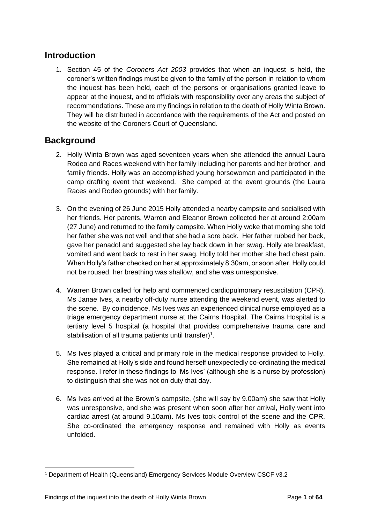# <span id="page-4-0"></span>**Introduction**

1. Section 45 of the *Coroners Act 2003* provides that when an inquest is held, the coroner's written findings must be given to the family of the person in relation to whom the inquest has been held, each of the persons or organisations granted leave to appear at the inquest, and to officials with responsibility over any areas the subject of recommendations. These are my findings in relation to the death of Holly Winta Brown. They will be distributed in accordance with the requirements of the Act and posted on the website of the Coroners Court of Queensland.

# <span id="page-4-1"></span>**Background**

- 2. Holly Winta Brown was aged seventeen years when she attended the annual Laura Rodeo and Races weekend with her family including her parents and her brother, and family friends. Holly was an accomplished young horsewoman and participated in the camp drafting event that weekend. She camped at the event grounds (the Laura Races and Rodeo grounds) with her family.
- 3. On the evening of 26 June 2015 Holly attended a nearby campsite and socialised with her friends. Her parents, Warren and Eleanor Brown collected her at around 2:00am (27 June) and returned to the family campsite. When Holly woke that morning she told her father she was not well and that she had a sore back. Her father rubbed her back, gave her panadol and suggested she lay back down in her swag. Holly ate breakfast, vomited and went back to rest in her swag. Holly told her mother she had chest pain. When Holly's father checked on her at approximately 8.30am, or soon after, Holly could not be roused, her breathing was shallow, and she was unresponsive.
- 4. Warren Brown called for help and commenced cardiopulmonary resuscitation (CPR). Ms Janae Ives, a nearby off-duty nurse attending the weekend event, was alerted to the scene. By coincidence, Ms Ives was an experienced clinical nurse employed as a triage emergency department nurse at the Cairns Hospital. The Cairns Hospital is a tertiary level 5 hospital (a hospital that provides comprehensive trauma care and stabilisation of all trauma patients until transfer)<sup>1</sup>.
- 5. Ms Ives played a critical and primary role in the medical response provided to Holly. She remained at Holly's side and found herself unexpectedly co-ordinating the medical response. I refer in these findings to 'Ms Ives' (although she is a nurse by profession) to distinguish that she was not on duty that day.
- 6. Ms Ives arrived at the Brown's campsite, (she will say by 9.00am) she saw that Holly was unresponsive, and she was present when soon after her arrival, Holly went into cardiac arrest (at around 9.10am). Ms Ives took control of the scene and the CPR. She co-ordinated the emergency response and remained with Holly as events unfolded.

l <sup>1</sup> Department of Health (Queensland) Emergency Services Module Overview CSCF v3.2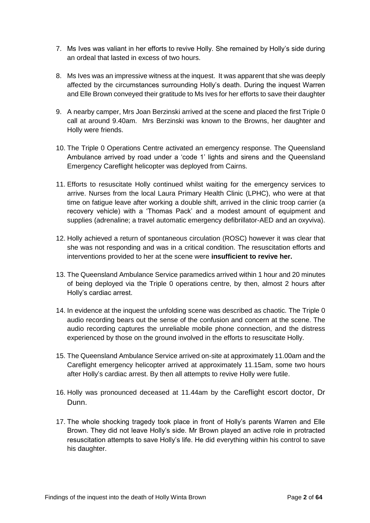- 7. Ms Ives was valiant in her efforts to revive Holly. She remained by Holly's side during an ordeal that lasted in excess of two hours.
- 8. Ms Ives was an impressive witness at the inquest. It was apparent that she was deeply affected by the circumstances surrounding Holly's death. During the inquest Warren and Elle Brown conveyed their gratitude to Ms Ives for her efforts to save their daughter
- 9. A nearby camper, Mrs Joan Berzinski arrived at the scene and placed the first Triple 0 call at around 9.40am. Mrs Berzinski was known to the Browns, her daughter and Holly were friends.
- 10. The Triple 0 Operations Centre activated an emergency response. The Queensland Ambulance arrived by road under a 'code 1' lights and sirens and the Queensland Emergency Careflight helicopter was deployed from Cairns.
- 11. Efforts to resuscitate Holly continued whilst waiting for the emergency services to arrive. Nurses from the local Laura Primary Health Clinic (LPHC), who were at that time on fatigue leave after working a double shift, arrived in the clinic troop carrier (a recovery vehicle) with a 'Thomas Pack' and a modest amount of equipment and supplies (adrenaline; a travel automatic emergency defibrillator-AED and an oxyviva).
- 12. Holly achieved a return of spontaneous circulation (ROSC) however it was clear that she was not responding and was in a critical condition. The resuscitation efforts and interventions provided to her at the scene were **insufficient to revive her.**
- 13. The Queensland Ambulance Service paramedics arrived within 1 hour and 20 minutes of being deployed via the Triple 0 operations centre, by then, almost 2 hours after Holly's cardiac arrest.
- 14. In evidence at the inquest the unfolding scene was described as chaotic. The Triple 0 audio recording bears out the sense of the confusion and concern at the scene. The audio recording captures the unreliable mobile phone connection, and the distress experienced by those on the ground involved in the efforts to resuscitate Holly.
- 15. The Queensland Ambulance Service arrived on-site at approximately 11.00am and the Careflight emergency helicopter arrived at approximately 11.15am, some two hours after Holly's cardiac arrest. By then all attempts to revive Holly were futile.
- 16. Holly was pronounced deceased at 11.44am by the Careflight escort doctor, Dr Dunn.
- 17. The whole shocking tragedy took place in front of Holly's parents Warren and Elle Brown. They did not leave Holly's side. Mr Brown played an active role in protracted resuscitation attempts to save Holly's life. He did everything within his control to save his daughter.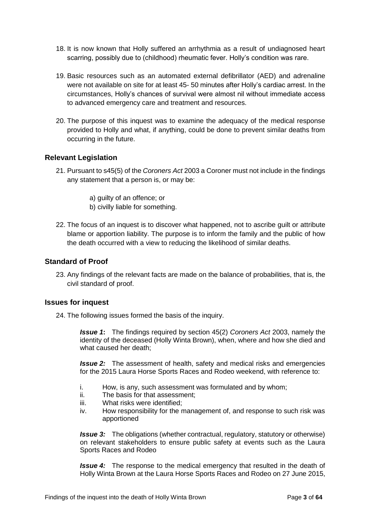- 18. It is now known that Holly suffered an arrhythmia as a result of undiagnosed heart scarring, possibly due to (childhood) rheumatic fever. Holly's condition was rare.
- 19. Basic resources such as an automated external defibrillator (AED) and adrenaline were not available on site for at least 45- 50 minutes after Holly's cardiac arrest. In the circumstances, Holly's chances of survival were almost nil without immediate access to advanced emergency care and treatment and resources.
- 20. The purpose of this inquest was to examine the adequacy of the medical response provided to Holly and what, if anything, could be done to prevent similar deaths from occurring in the future.

#### <span id="page-6-0"></span>**Relevant Legislation**

- 21. Pursuant to s45(5) of the *Coroners Act* 2003 a Coroner must not include in the findings any statement that a person is, or may be:
	- a) guilty of an offence; or
	- b) civilly liable for something.
- 22. The focus of an inquest is to discover what happened, not to ascribe guilt or attribute blame or apportion liability. The purpose is to inform the family and the public of how the death occurred with a view to reducing the likelihood of similar deaths.

#### <span id="page-6-1"></span>**Standard of Proof**

23. Any findings of the relevant facts are made on the balance of probabilities, that is, the civil standard of proof.

#### <span id="page-6-2"></span>**Issues for inquest**

<span id="page-6-3"></span>24. The following issues formed the basis of the inquiry.

*Issue 1***:** The findings required by section 45(2) *Coroners Act* 2003, namely the identity of the deceased (Holly Winta Brown), when, where and how she died and what caused her death;

<span id="page-6-4"></span>*Issue 2:* The assessment of health, safety and medical risks and emergencies for the 2015 Laura Horse Sports Races and Rodeo weekend, with reference to:

- i. How, is any, such assessment was formulated and by whom;
- ii. The basis for that assessment;
- iii. What risks were identified;
- iv. How responsibility for the management of, and response to such risk was apportioned

<span id="page-6-5"></span>*Issue 3:* The obligations (whether contractual, regulatory, statutory or otherwise) on relevant stakeholders to ensure public safety at events such as the Laura Sports Races and Rodeo

<span id="page-6-6"></span>*Issue 4:* The response to the medical emergency that resulted in the death of Holly Winta Brown at the Laura Horse Sports Races and Rodeo on 27 June 2015,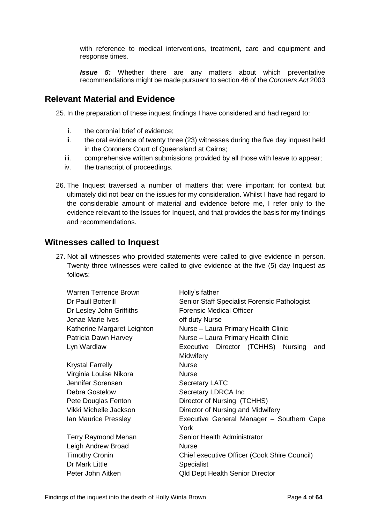with reference to medical interventions, treatment, care and equipment and response times.

*Issue 5:* Whether there are any matters about which preventative recommendations might be made pursuant to section 46 of the *Coroners Act* 2003

## <span id="page-7-1"></span><span id="page-7-0"></span>**Relevant Material and Evidence**

25. In the preparation of these inquest findings I have considered and had regard to:

- i. the coronial brief of evidence;
- ii. the oral evidence of twenty three (23) witnesses during the five day inquest held in the Coroners Court of Queensland at Cairns;
- iii. comprehensive written submissions provided by all those with leave to appear;
- iv. the transcript of proceedings.
- 26. The Inquest traversed a number of matters that were important for context but ultimately did not bear on the issues for my consideration. Whilst I have had regard to the considerable amount of material and evidence before me, I refer only to the evidence relevant to the Issues for Inquest, and that provides the basis for my findings and recommendations.

## <span id="page-7-2"></span>**Witnesses called to Inquest**

27. Not all witnesses who provided statements were called to give evidence in person. Twenty three witnesses were called to give evidence at the five (5) day Inquest as follows:

| <b>Warren Terrence Brown</b><br>Dr Paull Botterill<br>Dr Lesley John Griffiths<br>Jenae Marie Ives<br>Katherine Margaret Leighton | Holly's father<br>Senior Staff Specialist Forensic Pathologist<br><b>Forensic Medical Officer</b><br>off duty Nurse<br>Nurse - Laura Primary Health Clinic |
|-----------------------------------------------------------------------------------------------------------------------------------|------------------------------------------------------------------------------------------------------------------------------------------------------------|
| Patricia Dawn Harvey                                                                                                              | Nurse - Laura Primary Health Clinic                                                                                                                        |
| Lyn Wardlaw                                                                                                                       | Executive Director (TCHHS) Nursing<br>and                                                                                                                  |
|                                                                                                                                   | Midwifery                                                                                                                                                  |
| <b>Krystal Farrelly</b>                                                                                                           | <b>Nurse</b>                                                                                                                                               |
| Virginia Louise Nikora                                                                                                            | <b>Nurse</b>                                                                                                                                               |
| Jennifer Sorensen                                                                                                                 | <b>Secretary LATC</b>                                                                                                                                      |
| <b>Debra Gostelow</b>                                                                                                             | Secretary LDRCA Inc                                                                                                                                        |
| Pete Douglas Fenton                                                                                                               | Director of Nursing (TCHHS)                                                                                                                                |
| Vikki Michelle Jackson                                                                                                            | Director of Nursing and Midwifery                                                                                                                          |
| Ian Maurice Pressley                                                                                                              | Executive General Manager - Southern Cape<br>York                                                                                                          |
| <b>Terry Raymond Mehan</b>                                                                                                        | Senior Health Administrator                                                                                                                                |
| Leigh Andrew Broad                                                                                                                | <b>Nurse</b>                                                                                                                                               |
| <b>Timothy Cronin</b>                                                                                                             | Chief executive Officer (Cook Shire Council)                                                                                                               |
| Dr Mark Little                                                                                                                    | <b>Specialist</b>                                                                                                                                          |
| Peter John Aitken                                                                                                                 | <b>Qld Dept Health Senior Director</b>                                                                                                                     |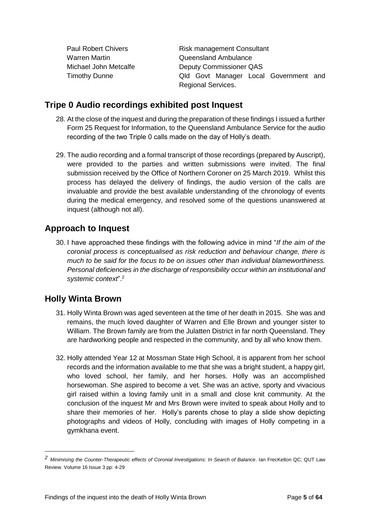Paul Robert Chivers **Risk management Consultant** Warren Martin **National Communist Communist Cueensland Ambulance** Michael John Metcalfe **Deputy Commissioner QAS** Timothy Dunne Qld Govt Manager Local Government and Regional Services.

# <span id="page-8-0"></span>**Tripe 0 Audio recordings exhibited post Inquest**

- 28. At the close of the inquest and during the preparation of these findings I issued a further Form 25 Request for Information, to the Queensland Ambulance Service for the audio recording of the two Triple 0 calls made on the day of Holly's death.
- 29. The audio recording and a formal transcript of those recordings (prepared by Auscript), were provided to the parties and written submissions were invited. The final submission received by the Office of Northern Coroner on 25 March 2019. Whilst this process has delayed the delivery of findings, the audio version of the calls are invaluable and provide the best available understanding of the chronology of events during the medical emergency, and resolved some of the questions unanswered at inquest (although not all).

# **Approach to Inquest**

30. I have approached these findings with the following advice in mind "*If the aim of the coronial process is conceptualised as risk reduction and behaviour change, there is much to be said for the focus to be on issues other than individual blameworthiness. Personal deficiencies in the discharge of responsibility occur within an institutional and systemic context*". 2

# <span id="page-8-1"></span>**Holly Winta Brown**

- 31. Holly Winta Brown was aged seventeen at the time of her death in 2015. She was and remains, the much loved daughter of Warren and Elle Brown and younger sister to William. The Brown family are from the Julatten District in far north Queensland. They are hardworking people and respected in the community, and by all who know them.
- 32. Holly attended Year 12 at Mossman State High School, it is apparent from her school records and the information available to me that she was a bright student, a happy girl, who loved school, her family, and her horses. Holly was an accomplished horsewoman. She aspired to become a vet. She was an active, sporty and vivacious girl raised within a loving family unit in a small and close knit community. At the conclusion of the inquest Mr and Mrs Brown were invited to speak about Holly and to share their memories of her. Holly's parents chose to play a slide show depicting photographs and videos of Holly, concluding with images of Holly competing in a gymkhana event.

*<sup>2</sup> Minimising the Counter-Therapeutic effects of Coronial Investigations: In Search of Balance*. Ian FrecKelton QC; QUT Law Review. Volume 16 Issue 3 pp: 4-29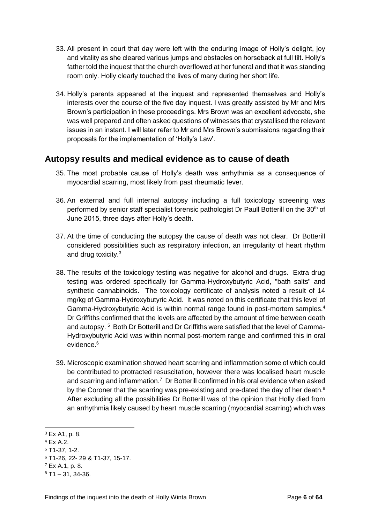- 33. All present in court that day were left with the enduring image of Holly's delight, joy and vitality as she cleared various jumps and obstacles on horseback at full tilt. Holly's father told the inquest that the church overflowed at her funeral and that it was standing room only. Holly clearly touched the lives of many during her short life.
- 34. Holly's parents appeared at the inquest and represented themselves and Holly's interests over the course of the five day inquest. I was greatly assisted by Mr and Mrs Brown's participation in these proceedings. Mrs Brown was an excellent advocate, she was well prepared and often asked questions of witnesses that crystallised the relevant issues in an instant. I will later refer to Mr and Mrs Brown's submissions regarding their proposals for the implementation of 'Holly's Law'.

# <span id="page-9-0"></span>**Autopsy results and medical evidence as to cause of death**

- 35. The most probable cause of Holly's death was arrhythmia as a consequence of myocardial scarring, most likely from past rheumatic fever.
- 36. An external and full internal autopsy including a full toxicology screening was performed by senior staff specialist forensic pathologist Dr Paull Botterill on the 30<sup>th</sup> of June 2015, three days after Holly's death.
- 37. At the time of conducting the autopsy the cause of death was not clear. Dr Botterill considered possibilities such as respiratory infection, an irregularity of heart rhythm and drug toxicity.<sup>3</sup>
- 38. The results of the toxicology testing was negative for alcohol and drugs. Extra drug testing was ordered specifically for Gamma-Hydroxybutyric Acid, "bath salts" and synthetic cannabinoids. The toxicology certificate of analysis noted a result of 14 mg/kg of Gamma-Hydroxybutyric Acid. It was noted on this certificate that this level of Gamma-Hydroxybutyric Acid is within normal range found in post-mortem samples.<sup>4</sup> Dr Griffiths confirmed that the levels are affected by the amount of time between death and autopsy.<sup>5</sup> Both Dr Botterill and Dr Griffiths were satisfied that the level of Gamma-Hydroxybutyric Acid was within normal post-mortem range and confirmed this in oral evidence.<sup>6</sup>
- 39. Microscopic examination showed heart scarring and inflammation some of which could be contributed to protracted resuscitation, however there was localised heart muscle and scarring and inflammation.<sup>7</sup> Dr Botterill confirmed in his oral evidence when asked by the Coroner that the scarring was pre-existing and pre-dated the day of her death. $8$ After excluding all the possibilities Dr Botterill was of the opinion that Holly died from an arrhythmia likely caused by heart muscle scarring (myocardial scarring) which was

<sup>3</sup> Ex A1, p. 8.

<sup>4</sup> Ex A.2.

 $5$  T1-37, 1-2.

<sup>6</sup> T1-26, 22- 29 & T1-37, 15-17.

<sup>7</sup> Ex A.1, p. 8.

 $8$  T1 – 31, 34-36.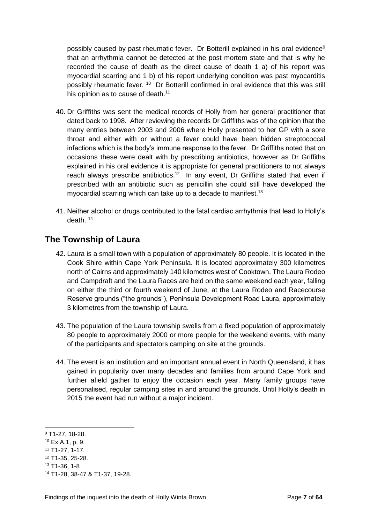possibly caused by past rheumatic fever. Dr Botterill explained in his oral evidence<sup>9</sup> that an arrhythmia cannot be detected at the post mortem state and that is why he recorded the cause of death as the direct cause of death 1 a) of his report was myocardial scarring and 1 b) of his report underlying condition was past myocarditis possibly rheumatic fever. <sup>10</sup> Dr Botterill confirmed in oral evidence that this was still his opinion as to cause of death.<sup>11</sup>

- 40. Dr Griffiths was sent the medical records of Holly from her general practitioner that dated back to 1998. After reviewing the records Dr Griffiths was of the opinion that the many entries between 2003 and 2006 where Holly presented to her GP with a sore throat and either with or without a fever could have been hidden streptococcal infections which is the body's immune response to the fever. Dr Griffiths noted that on occasions these were dealt with by prescribing antibiotics, however as Dr Griffiths explained in his oral evidence it is appropriate for general practitioners to not always reach always prescribe antibiotics.<sup>12</sup> In any event, Dr Griffiths stated that even if prescribed with an antibiotic such as penicillin she could still have developed the myocardial scarring which can take up to a decade to manifest.<sup>13</sup>
- 41. Neither alcohol or drugs contributed to the fatal cardiac arrhythmia that lead to Holly's death. <sup>14</sup>

# <span id="page-10-0"></span>**The Township of Laura**

- 42. Laura is a small town with a population of approximately 80 people. It is located in the Cook Shire within Cape York Peninsula. It is located approximately 300 kilometres north of Cairns and approximately 140 kilometres west of Cooktown. The Laura Rodeo and Campdraft and the Laura Races are held on the same weekend each year, falling on either the third or fourth weekend of June, at the Laura Rodeo and Racecourse Reserve grounds ("the grounds"), Peninsula Development Road Laura, approximately 3 kilometres from the township of Laura.
- 43. The population of the Laura township swells from a fixed population of approximately 80 people to approximately 2000 or more people for the weekend events, with many of the participants and spectators camping on site at the grounds.
- 44. The event is an institution and an important annual event in North Queensland, it has gained in popularity over many decades and families from around Cape York and further afield gather to enjoy the occasion each year. Many family groups have personalised, regular camping sites in and around the grounds. Until Holly's death in 2015 the event had run without a major incident.

<sup>9</sup> T1-27, 18-28.

<sup>10</sup> Ex A.1, p. 9.

<sup>11</sup> T1-27, 1-17.

<sup>12</sup> T1-35, 25-28.

<sup>13</sup> T1-36, 1-8

<sup>14</sup> T1-28, 38-47 & T1-37, 19-28.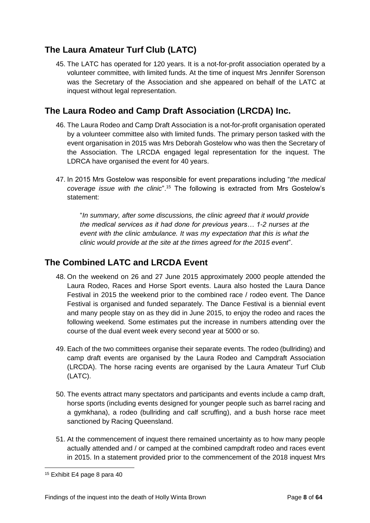# <span id="page-11-0"></span>**The Laura Amateur Turf Club (LATC)**

45. The LATC has operated for 120 years. It is a not-for-profit association operated by a volunteer committee, with limited funds. At the time of inquest Mrs Jennifer Sorenson was the Secretary of the Association and she appeared on behalf of the LATC at inquest without legal representation.

# <span id="page-11-1"></span>**The Laura Rodeo and Camp Draft Association (LRCDA) Inc.**

- 46. The Laura Rodeo and Camp Draft Association is a not-for-profit organisation operated by a volunteer committee also with limited funds. The primary person tasked with the event organisation in 2015 was Mrs Deborah Gostelow who was then the Secretary of the Association. The LRCDA engaged legal representation for the inquest. The LDRCA have organised the event for 40 years.
- 47. In 2015 Mrs Gostelow was responsible for event preparations including "*the medical coverage issue with the clinic*".<sup>15</sup> The following is extracted from Mrs Gostelow's statement:

"*In summary, after some discussions, the clinic agreed that it would provide the medical services as it had done for previous years… 1-2 nurses at the event with the clinic ambulance. It was my expectation that this is what the clinic would provide at the site at the times agreed for the 2015 event*".

# <span id="page-11-2"></span>**The Combined LATC and LRCDA Event**

- 48. On the weekend on 26 and 27 June 2015 approximately 2000 people attended the Laura Rodeo, Races and Horse Sport events. Laura also hosted the Laura Dance Festival in 2015 the weekend prior to the combined race / rodeo event. The Dance Festival is organised and funded separately. The Dance Festival is a biennial event and many people stay on as they did in June 2015, to enjoy the rodeo and races the following weekend. Some estimates put the increase in numbers attending over the course of the dual event week every second year at 5000 or so.
- 49. Each of the two committees organise their separate events. The rodeo (bullriding) and camp draft events are organised by the Laura Rodeo and Campdraft Association (LRCDA). The horse racing events are organised by the Laura Amateur Turf Club (LATC).
- 50. The events attract many spectators and participants and events include a camp draft, horse sports (including events designed for younger people such as barrel racing and a gymkhana), a rodeo (bullriding and calf scruffing), and a bush horse race meet sanctioned by Racing Queensland.
- 51. At the commencement of inquest there remained uncertainty as to how many people actually attended and / or camped at the combined campdraft rodeo and races event in 2015. In a statement provided prior to the commencement of the 2018 inquest Mrs

l <sup>15</sup> Exhibit E4 page 8 para 40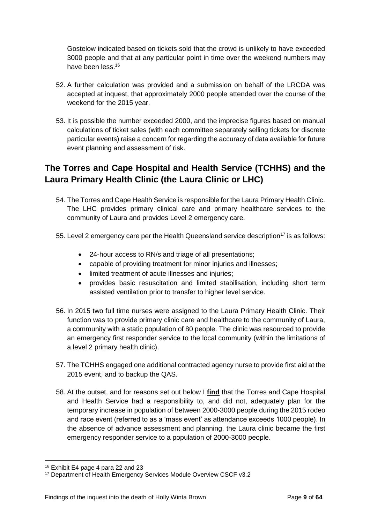Gostelow indicated based on tickets sold that the crowd is unlikely to have exceeded 3000 people and that at any particular point in time over the weekend numbers may have been less.<sup>16</sup>

- 52. A further calculation was provided and a submission on behalf of the LRCDA was accepted at inquest, that approximately 2000 people attended over the course of the weekend for the 2015 year.
- 53. It is possible the number exceeded 2000, and the imprecise figures based on manual calculations of ticket sales (with each committee separately selling tickets for discrete particular events) raise a concern for regarding the accuracy of data available for future event planning and assessment of risk.

# <span id="page-12-0"></span>**The Torres and Cape Hospital and Health Service (TCHHS) and the Laura Primary Health Clinic (the Laura Clinic or LHC)**

- 54. The Torres and Cape Health Service is responsible for the Laura Primary Health Clinic. The LHC provides primary clinical care and primary healthcare services to the community of Laura and provides Level 2 emergency care.
- 55. Level 2 emergency care per the Health Queensland service description<sup>17</sup> is as follows:
	- 24-hour access to RN/s and triage of all presentations;
	- capable of providing treatment for minor injuries and illnesses;
	- limited treatment of acute illnesses and injuries;
	- provides basic resuscitation and limited stabilisation, including short term assisted ventilation prior to transfer to higher level service.
- 56. In 2015 two full time nurses were assigned to the Laura Primary Health Clinic. Their function was to provide primary clinic care and healthcare to the community of Laura, a community with a static population of 80 people. The clinic was resourced to provide an emergency first responder service to the local community (within the limitations of a level 2 primary health clinic).
- 57. The TCHHS engaged one additional contracted agency nurse to provide first aid at the 2015 event, and to backup the QAS.
- 58. At the outset, and for reasons set out below I **find** that the Torres and Cape Hospital and Health Service had a responsibility to, and did not, adequately plan for the temporary increase in population of between 2000-3000 people during the 2015 rodeo and race event (referred to as a 'mass event' as attendance exceeds 1000 people). In the absence of advance assessment and planning, the Laura clinic became the first emergency responder service to a population of 2000-3000 people.

<sup>16</sup> Exhibit E4 page 4 para 22 and 23

<sup>17</sup> Department of Health Emergency Services Module Overview CSCF v3.2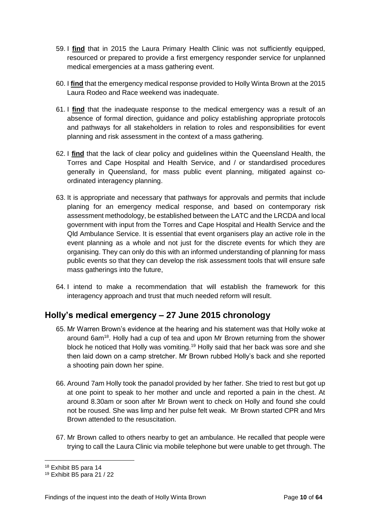- 59. I **find** that in 2015 the Laura Primary Health Clinic was not sufficiently equipped, resourced or prepared to provide a first emergency responder service for unplanned medical emergencies at a mass gathering event.
- 60. I **find** that the emergency medical response provided to Holly Winta Brown at the 2015 Laura Rodeo and Race weekend was inadequate.
- 61. I **find** that the inadequate response to the medical emergency was a result of an absence of formal direction, guidance and policy establishing appropriate protocols and pathways for all stakeholders in relation to roles and responsibilities for event planning and risk assessment in the context of a mass gathering.
- 62. I **find** that the lack of clear policy and guidelines within the Queensland Health, the Torres and Cape Hospital and Health Service, and / or standardised procedures generally in Queensland, for mass public event planning, mitigated against coordinated interagency planning.
- 63. It is appropriate and necessary that pathways for approvals and permits that include planing for an emergency medical response, and based on contemporary risk assessment methodology, be established between the LATC and the LRCDA and local government with input from the Torres and Cape Hospital and Health Service and the Qld Ambulance Service. It is essential that event organisers play an active role in the event planning as a whole and not just for the discrete events for which they are organising. They can only do this with an informed understanding of planning for mass public events so that they can develop the risk assessment tools that will ensure safe mass gatherings into the future,
- 64. I intend to make a recommendation that will establish the framework for this interagency approach and trust that much needed reform will result.

# <span id="page-13-0"></span>**Holly's medical emergency – 27 June 2015 chronology**

- 65. Mr Warren Brown's evidence at the hearing and his statement was that Holly woke at around 6am<sup>18</sup>. Holly had a cup of tea and upon Mr Brown returning from the shower block he noticed that Holly was vomiting.<sup>19</sup> Holly said that her back was sore and she then laid down on a camp stretcher. Mr Brown rubbed Holly's back and she reported a shooting pain down her spine.
- 66. Around 7am Holly took the panadol provided by her father. She tried to rest but got up at one point to speak to her mother and uncle and reported a pain in the chest. At around 8.30am or soon after Mr Brown went to check on Holly and found she could not be roused. She was limp and her pulse felt weak. Mr Brown started CPR and Mrs Brown attended to the resuscitation.
- 67. Mr Brown called to others nearby to get an ambulance. He recalled that people were trying to call the Laura Clinic via mobile telephone but were unable to get through. The

<sup>18</sup> Exhibit B5 para 14

<sup>19</sup> Exhibit B5 para 21 / 22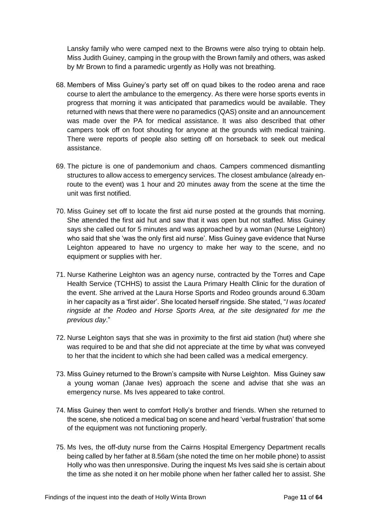Lansky family who were camped next to the Browns were also trying to obtain help. Miss Judith Guiney, camping in the group with the Brown family and others, was asked by Mr Brown to find a paramedic urgently as Holly was not breathing.

- 68. Members of Miss Guiney's party set off on quad bikes to the rodeo arena and race course to alert the ambulance to the emergency. As there were horse sports events in progress that morning it was anticipated that paramedics would be available. They returned with news that there were no paramedics (QAS) onsite and an announcement was made over the PA for medical assistance. It was also described that other campers took off on foot shouting for anyone at the grounds with medical training. There were reports of people also setting off on horseback to seek out medical assistance.
- 69. The picture is one of pandemonium and chaos. Campers commenced dismantling structures to allow access to emergency services. The closest ambulance (already enroute to the event) was 1 hour and 20 minutes away from the scene at the time the unit was first notified.
- 70. Miss Guiney set off to locate the first aid nurse posted at the grounds that morning. She attended the first aid hut and saw that it was open but not staffed. Miss Guiney says she called out for 5 minutes and was approached by a woman (Nurse Leighton) who said that she 'was the only first aid nurse'. Miss Guiney gave evidence that Nurse Leighton appeared to have no urgency to make her way to the scene, and no equipment or supplies with her.
- 71. Nurse Katherine Leighton was an agency nurse, contracted by the Torres and Cape Health Service (TCHHS) to assist the Laura Primary Health Clinic for the duration of the event. She arrived at the Laura Horse Sports and Rodeo grounds around 6.30am in her capacity as a 'first aider'. She located herself ringside. She stated, "*I was located ringside at the Rodeo and Horse Sports Area, at the site designated for me the previous day*."
- 72. Nurse Leighton says that she was in proximity to the first aid station (hut) where she was required to be and that she did not appreciate at the time by what was conveyed to her that the incident to which she had been called was a medical emergency.
- 73. Miss Guiney returned to the Brown's campsite with Nurse Leighton. Miss Guiney saw a young woman (Janae Ives) approach the scene and advise that she was an emergency nurse. Ms Ives appeared to take control.
- 74. Miss Guiney then went to comfort Holly's brother and friends. When she returned to the scene, she noticed a medical bag on scene and heard 'verbal frustration' that some of the equipment was not functioning properly.
- 75. Ms Ives, the off-duty nurse from the Cairns Hospital Emergency Department recalls being called by her father at 8.56am (she noted the time on her mobile phone) to assist Holly who was then unresponsive. During the inquest Ms Ives said she is certain about the time as she noted it on her mobile phone when her father called her to assist. She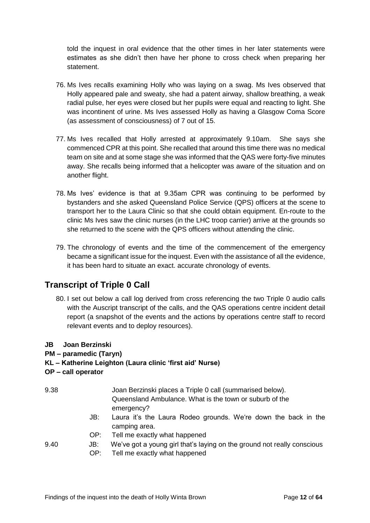told the inquest in oral evidence that the other times in her later statements were estimates as she didn't then have her phone to cross check when preparing her statement.

- 76. Ms Ives recalls examining Holly who was laying on a swag. Ms Ives observed that Holly appeared pale and sweaty, she had a patent airway, shallow breathing, a weak radial pulse, her eyes were closed but her pupils were equal and reacting to light. She was incontinent of urine. Ms Ives assessed Holly as having a Glasgow Coma Score (as assessment of consciousness) of 7 out of 15.
- 77. Ms Ives recalled that Holly arrested at approximately 9.10am. She says she commenced CPR at this point. She recalled that around this time there was no medical team on site and at some stage she was informed that the QAS were forty-five minutes away. She recalls being informed that a helicopter was aware of the situation and on another flight.
- 78. Ms Ives' evidence is that at 9.35am CPR was continuing to be performed by bystanders and she asked Queensland Police Service (QPS) officers at the scene to transport her to the Laura Clinic so that she could obtain equipment. En-route to the clinic Ms Ives saw the clinic nurses (in the LHC troop carrier) arrive at the grounds so she returned to the scene with the QPS officers without attending the clinic.
- 79. The chronology of events and the time of the commencement of the emergency became a significant issue for the inquest. Even with the assistance of all the evidence, it has been hard to situate an exact. accurate chronology of events.

# <span id="page-15-0"></span>**Transcript of Triple 0 Call**

80. I set out below a call log derived from cross referencing the two Triple 0 audio calls with the Auscript transcript of the calls, and the QAS operations centre incident detail report (a snapshot of the events and the actions by operations centre staff to record relevant events and to deploy resources).

## **JB Joan Berzinski**

**PM – paramedic (Taryn)**

## **KL – Katherine Leighton (Laura clinic 'first aid' Nurse)**

**OP – call operator** 

| 9.38 | Joan Berzinski places a Triple 0 call (summarised below). |
|------|-----------------------------------------------------------|
|      | Queensland Ambulance. What is the town or suburb of the   |
|      | emergency?                                                |

- JB: Laura it's the Laura Rodeo grounds. We're down the back in the camping area.
- OP: Tell me exactly what happened
- 9.40 JB: We've got a young girl that's laying on the ground not really conscious
	- OP: Tell me exactly what happened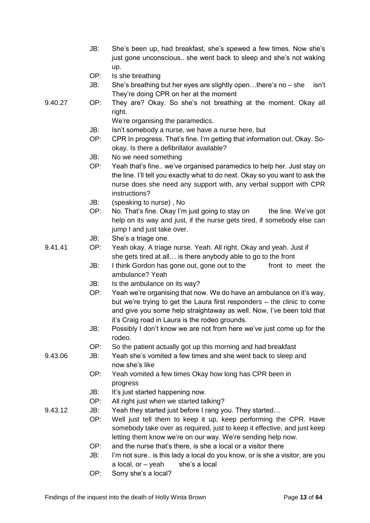- JB: She's been up, had breakfast, she's spewed a few times. Now she's just gone unconscious.. she went back to sleep and she's not waking up.
- OP: Is she breathing
- JB: She's breathing but her eyes are slightly open…there's no she isn't They're doing CPR on her at the moment
- 9.40.27 OP: They are? Okay. So she's not breathing at the moment. Okay all right.

We're organising the paramedics.

- JB: Isn't somebody a nurse, we have a nurse here, but
- OP: CPR In progress. That's fine. I'm getting that information out. Okay. Sookay. Is there a defibrillator available?
- JB: No we need something
- OP: Yeah that's fine.. we've organised paramedics to help her. Just stay on the line. I'll tell you exactly what to do next. Okay so you want to ask the nurse does she need any support with, any verbal support with CPR instructions?
- JB: (speaking to nurse) , No
- OP: No. That's fine. Okay I'm just going to stay on the line. We've got help on its way and just, if the nurse gets tired, if somebody else can jump I and just take over.
- JB: She's a triage one.

- 9.41.41 OP: Yeah okay. A triage nurse. Yeah. All right. Okay and yeah. Just if
	- she gets tired at all… is there anybody able to go to the front
		- JB: I think Gordon has gone out, gone out to the front to meet the ambulance? Yeah
		- JB: Is the ambulance on its way?
		- OP: Yeah we're organising that now. We do have an ambulance on it's way, but we're trying to get the Laura first responders – the clinic to come and give you some help straightaway as well. Now, I've been told that it's Craig road in Laura is the rodeo grounds.
		- JB: Possibly I don't know we are not from here we've just come up for the rodeo.
		- OP: So the patient actually got up this morning and had breakfast
- 9.43.06 JB: Yeah she's vomited a few times and she went back to sleep and now she's like
	- OP: Yeah vomited a few times Okay how long has CPR been in progress
	- JB: It's just started happening now.
	- OP: All right just when we started talking?
- 9.43.12 JB: Yeah they started just before I rang you. They started…
	- OP: Well just tell them to keep it up, keep performing the CPR. Have somebody take over as required, just to keep it effective, and just keep letting them know we're on our way. We're sending help now.
	- OP: and the nurse that's there, is she a local or a visitor there
	- JB: I'm not sure.. is this lady a local do you know, or is she a visitor, are you a local, or  $-$  yeah she's a local
	- OP: Sorry she's a local?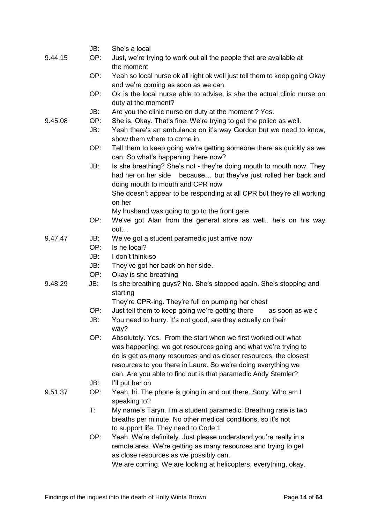|         | JB: | She's a local                                                                                                                                                                   |
|---------|-----|---------------------------------------------------------------------------------------------------------------------------------------------------------------------------------|
| 9.44.15 | OP: | Just, we're trying to work out all the people that are available at<br>the moment                                                                                               |
|         | OP: | Yeah so local nurse ok all right ok well just tell them to keep going Okay                                                                                                      |
|         |     | and we're coming as soon as we can                                                                                                                                              |
|         | OP: | Ok is the local nurse able to advise, is she the actual clinic nurse on<br>duty at the moment?                                                                                  |
|         | JB: | Are you the clinic nurse on duty at the moment? Yes.                                                                                                                            |
| 9.45.08 | OP: | She is. Okay. That's fine. We're trying to get the police as well.                                                                                                              |
|         | JB: | Yeah there's an ambulance on it's way Gordon but we need to know,<br>show them where to come in.                                                                                |
|         | OP: | Tell them to keep going we're getting someone there as quickly as we<br>can. So what's happening there now?                                                                     |
|         | JB: | Is she breathing? She's not - they're doing mouth to mouth now. They<br>because but they've just rolled her back and<br>had her on her side<br>doing mouth to mouth and CPR now |
|         |     | She doesn't appear to be responding at all CPR but they're all working<br>on her                                                                                                |
|         |     | My husband was going to go to the front gate.                                                                                                                                   |
|         | OP: | We've got Alan from the general store as well he's on his way<br>out                                                                                                            |
| 9.47.47 | JB: | We've got a student paramedic just arrive now                                                                                                                                   |
|         | OP: | Is he local?                                                                                                                                                                    |
|         | JB: | I don't think so                                                                                                                                                                |
|         | JB: | They've got her back on her side.                                                                                                                                               |
|         | OP: | Okay is she breathing                                                                                                                                                           |
| 9.48.29 | JB: | Is she breathing guys? No. She's stopped again. She's stopping and<br>starting                                                                                                  |
|         |     | They're CPR-ing. They're full on pumping her chest                                                                                                                              |
|         | OP: | Just tell them to keep going we're getting there<br>as soon as we c                                                                                                             |
|         | JB: | You need to hurry. It's not good, are they actually on their<br>way?                                                                                                            |
|         | OP: | Absolutely. Yes. From the start when we first worked out what                                                                                                                   |
|         |     | was happening, we got resources going and what we're trying to                                                                                                                  |
|         |     | do is get as many resources and as closer resources, the closest                                                                                                                |
|         |     | resources to you there in Laura. So we're doing everything we                                                                                                                   |
|         |     | can. Are you able to find out is that paramedic Andy Stemler?                                                                                                                   |
|         | JB: | I'll put her on                                                                                                                                                                 |
| 9.51.37 | OP: | Yeah, hi. The phone is going in and out there. Sorry. Who am I<br>speaking to?                                                                                                  |
|         | T:  | My name's Taryn. I'm a student paramedic. Breathing rate is two<br>breaths per minute. No other medical conditions, so it's not<br>to support life. They need to Code 1         |
|         | OP: | Yeah. We're definitely. Just please understand you're really in a<br>remote area. We're getting as many resources and trying to get<br>as close resources as we possibly can.   |

We are coming. We are looking at helicopters, everything, okay.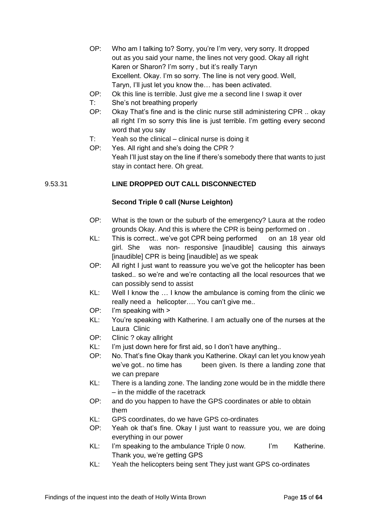- OP: Who am I talking to? Sorry, you're I'm very, very sorry. It dropped out as you said your name, the lines not very good. Okay all right Karen or Sharon? I'm sorry , but it's really Taryn Excellent. Okay. I'm so sorry. The line is not very good. Well, Taryn, I'll just let you know the… has been activated.
- OP: Ok this line is terrible. Just give me a second line I swap it over
- T: She's not breathing properly
- OP: Okay That's fine and is the clinic nurse still administering CPR .. okay all right I'm so sorry this line is just terrible. I'm getting every second word that you say
- T: Yeah so the clinical clinical nurse is doing it
- OP: Yes. All right and she's doing the CPR ? Yeah I'll just stay on the line if there's somebody there that wants to just stay in contact here. Oh great.

#### 9.53.31 **LINE DROPPED OUT CALL DISCONNECTED**

#### **Second Triple 0 call (Nurse Leighton)**

- OP: What is the town or the suburb of the emergency? Laura at the rodeo grounds Okay. And this is where the CPR is being performed on .
- KL: This is correct.. we've got CPR being performed on an 18 year old girl. She was non- responsive [inaudible] causing this airways [inaudible] CPR is being [inaudible] as we speak
- OP: All right I just want to reassure you we've got the helicopter has been tasked.. so we're and we're contacting all the local resources that we can possibly send to assist
- KL: Well I know the … I know the ambulance is coming from the clinic we really need a helicopter…. You can't give me..
- OP: I'm speaking with >
- KL: You're speaking with Katherine. I am actually one of the nurses at the Laura Clinic
- OP: Clinic ? okay allright
- KL: I'm just down here for first aid, so I don't have anything..
- OP: No. That's fine Okay thank you Katherine. OkayI can let you know yeah we've got.. no time has been given. Is there a landing zone that we can prepare
- KL: There is a landing zone. The landing zone would be in the middle there – in the middle of the racetrack
- OP: and do you happen to have the GPS coordinates or able to obtain them
- KL: GPS coordinates, do we have GPS co-ordinates
- OP: Yeah ok that's fine. Okay I just want to reassure you, we are doing everything in our power
- KL: I'm speaking to the ambulance Triple 0 now. I'm Katherine. Thank you, we're getting GPS
- KL: Yeah the helicopters being sent They just want GPS co-ordinates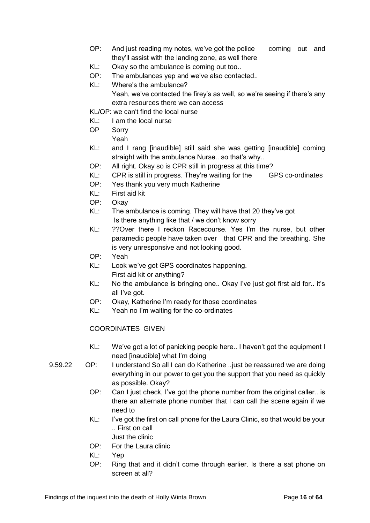- OP: And just reading my notes, we've got the police coming out and they'll assist with the landing zone, as well there
- KL: Okay so the ambulance is coming out too..
- OP: The ambulances yep and we've also contacted..
- KL: Where's the ambulance?

Yeah, we've contacted the firey's as well, so we're seeing if there's any extra resources there we can access

KL/OP: we can't find the local nurse

- KL: I am the local nurse
- OP Sorry

Yeah

- KL: and I rang [inaudible] still said she was getting [inaudible] coming straight with the ambulance Nurse.. so that's why..
- OP: All right. Okay so is CPR still in progress at this time?
- KL: CPR is still in progress. They're waiting for the GPS co-ordinates
- OP: Yes thank you very much Katherine
- KL: First aid kit
- OP: Okay
- KL: The ambulance is coming. They will have that 20 they've got Is there anything like that / we don't know sorry
- KL: ??Over there I reckon Racecourse. Yes I'm the nurse, but other paramedic people have taken over that CPR and the breathing. She is very unresponsive and not looking good.
- OP: Yeah
- KL: Look we've got GPS coordinates happening. First aid kit or anything?
- KL: No the ambulance is bringing one.. Okay I've just got first aid for.. it's all I've got.
- OP: Okay, Katherine I'm ready for those coordinates
- KL: Yeah no I'm waiting for the co-ordinates

## COORDINATES GIVEN

KL: We've got a lot of panicking people here.. I haven't got the equipment I need [inaudible] what I'm doing

9.59.22 OP: I understand So all I can do Katherine ..just be reassured we are doing everything in our power to get you the support that you need as quickly as possible. Okay?

- OP: Can I just check, I've got the phone number from the original caller.. is there an alternate phone number that I can call the scene again if we need to
- KL: I've got the first on call phone for the Laura Clinic, so that would be your .. First on call
	- Just the clinic
- OP: For the Laura clinic
- KL: Yep
- OP: Ring that and it didn't come through earlier. Is there a sat phone on screen at all?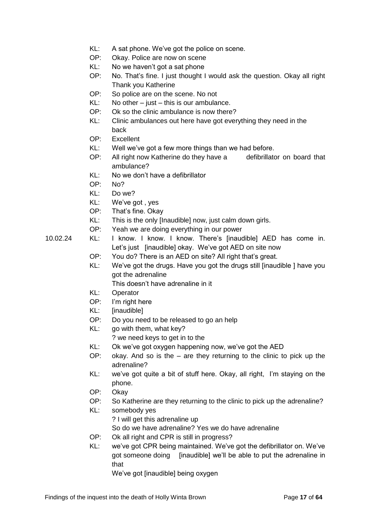- KL: A sat phone. We've got the police on scene.
- OP: Okay. Police are now on scene
- KL: No we haven't got a sat phone
- OP: No. That's fine. I just thought I would ask the question. Okay all right Thank you Katherine
- OP: So police are on the scene. No not
- $KL:$  No other just this is our ambulance.
- OP: Ok so the clinic ambulance is now there?
- KL: Clinic ambulances out here have got everything they need in the back
- OP: Excellent
- KL: Well we've got a few more things than we had before.
- OP: All right now Katherine do they have a defibrillator on board that ambulance?
- $K\Gamma$ : No we don't have a defibrillator
- OP: No?
- KL: Do we?
- KL: We've got , yes
- OP: That's fine. Okay
- KL: This is the only [Inaudible] now, just calm down girls.
- OP: Yeah we are doing everything in our power

- 10.02.24 KL: I know. I know. I know. There's [inaudible] AED has come in. Let's just [inaudible] okay. We've got AED on site now
	- OP: You do? There is an AED on site? All right that's great.
	- KL: We've got the drugs. Have you got the drugs still [inaudible ] have you got the adrenaline
		- This doesn't have adrenaline in it
	- KL: Operator
	- OP: I'm right here
	- KL: [inaudible]
	- OP: Do you need to be released to go an help
	- KL: go with them, what key?
		- ? we need keys to get in to the
	- KL: Ok we've got oxygen happening now, we've got the AED
	- OP: okay. And so is the are they returning to the clinic to pick up the adrenaline?
	- KL: we've got quite a bit of stuff here. Okay, all right, I'm staying on the phone.
	- OP: Okay
	- OP: So Katherine are they returning to the clinic to pick up the adrenaline?
	- KL: somebody yes ? I will get this adrenaline up
		- So do we have adrenaline? Yes we do have adrenaline
	- OP: Ok all right and CPR is still in progress?
	- KL: we've got CPR being maintained. We've got the defibrillator on. We've got someone doing [inaudible] we'll be able to put the adrenaline in that

We've got [inaudible] being oxygen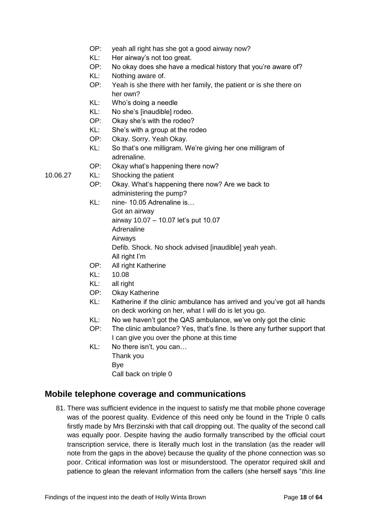- OP: yeah all right has she got a good airway now?
- KL: Her airway's not too great.
- OP: No okay does she have a medical history that you're aware of?
- KL: Nothing aware of.
- OP: Yeah is she there with her family, the patient or is she there on her own?
- KL: Who's doing a needle
- KL: No she's [inaudible] rodeo.
- OP: Okay she's with the rodeo?
- KL: She's with a group at the rodeo
- OP: Okay. Sorry. Yeah Okay.
- KL: So that's one milligram. We're giving her one milligram of adrenaline.
- OP: Okay what's happening there now?
- 10.06.27 KL: Shocking the patient
	- OP: Okay. What's happening there now? Are we back to administering the pump?
	- KL: nine- 10.05 Adrenaline is… Got an airway airway 10.07 – 10.07 let's put 10.07 Adrenaline Airways Defib. Shock. No shock advised [inaudible] yeah yeah. All right I'm
	- OP: All right Katherine
	- KL: 10.08
	- KL: all right
	- OP: Okay Katherine
	- KL: Katherine if the clinic ambulance has arrived and you've got all hands on deck working on her, what I will do is let you go.
	- KL: No we haven't got the QAS ambulance, we've only got the clinic
	- OP: The clinic ambulance? Yes, that's fine. Is there any further support that I can give you over the phone at this time
	- KL: No there isn't, you can… Thank you Bye Call back on triple 0

# <span id="page-21-0"></span>**Mobile telephone coverage and communications**

81. There was sufficient evidence in the inquest to satisfy me that mobile phone coverage was of the poorest quality. Evidence of this need only be found in the Triple 0 calls firstly made by Mrs Berzinski with that call dropping out. The quality of the second call was equally poor. Despite having the audio formally transcribed by the official court transcription service, there is literally much lost in the translation (as the reader will note from the gaps in the above) because the quality of the phone connection was so poor. Critical information was lost or misunderstood. The operator required skill and patience to glean the relevant information from the callers (she herself says "*this line*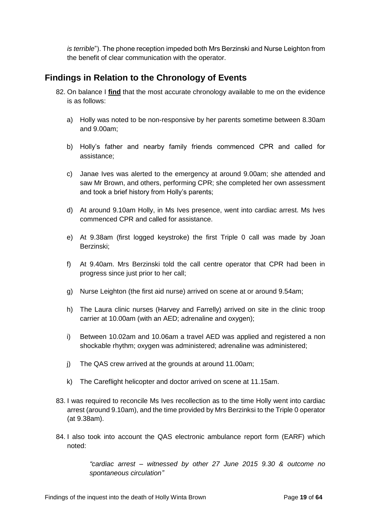*is terrible*"). The phone reception impeded both Mrs Berzinski and Nurse Leighton from the benefit of clear communication with the operator.

# <span id="page-22-0"></span>**Findings in Relation to the Chronology of Events**

- 82. On balance I **find** that the most accurate chronology available to me on the evidence is as follows:
	- a) Holly was noted to be non-responsive by her parents sometime between 8.30am and 9.00am;
	- b) Holly's father and nearby family friends commenced CPR and called for assistance;
	- c) Janae Ives was alerted to the emergency at around 9.00am; she attended and saw Mr Brown, and others, performing CPR; she completed her own assessment and took a brief history from Holly's parents;
	- d) At around 9.10am Holly, in Ms Ives presence, went into cardiac arrest. Ms Ives commenced CPR and called for assistance.
	- e) At 9.38am (first logged keystroke) the first Triple 0 call was made by Joan Berzinski;
	- f) At 9.40am. Mrs Berzinski told the call centre operator that CPR had been in progress since just prior to her call;
	- g) Nurse Leighton (the first aid nurse) arrived on scene at or around 9.54am;
	- h) The Laura clinic nurses (Harvey and Farrelly) arrived on site in the clinic troop carrier at 10.00am (with an AED; adrenaline and oxygen);
	- i) Between 10.02am and 10.06am a travel AED was applied and registered a non shockable rhythm; oxygen was administered; adrenaline was administered;
	- j) The QAS crew arrived at the grounds at around 11.00am;
	- k) The Careflight helicopter and doctor arrived on scene at 11.15am.
- 83. I was required to reconcile Ms Ives recollection as to the time Holly went into cardiac arrest (around 9.10am), and the time provided by Mrs Berzinksi to the Triple 0 operator (at 9.38am).
- 84. I also took into account the QAS electronic ambulance report form (EARF) which noted:

*"cardiac arrest – witnessed by other 27 June 2015 9.30 & outcome no spontaneous circulation"*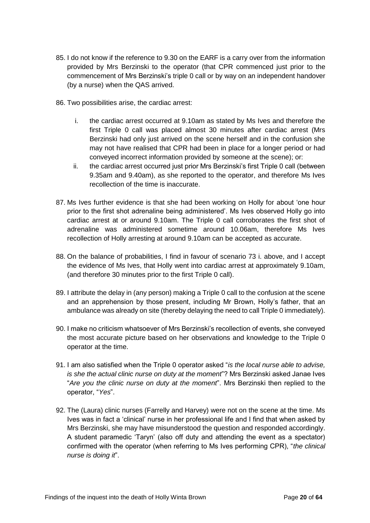- 85. I do not know if the reference to 9.30 on the EARF is a carry over from the information provided by Mrs Berzinski to the operator (that CPR commenced just prior to the commencement of Mrs Berzinski's triple 0 call or by way on an independent handover (by a nurse) when the QAS arrived.
- 86. Two possibilities arise, the cardiac arrest:
	- i. the cardiac arrest occurred at 9.10am as stated by Ms Ives and therefore the first Triple 0 call was placed almost 30 minutes after cardiac arrest (Mrs Berzinski had only just arrived on the scene herself and in the confusion she may not have realised that CPR had been in place for a longer period or had conveyed incorrect information provided by someone at the scene); or:
	- ii. the cardiac arrest occurred just prior Mrs Berzinski's first Triple 0 call (between 9.35am and 9.40am), as she reported to the operator, and therefore Ms Ives recollection of the time is inaccurate.
- 87. Ms Ives further evidence is that she had been working on Holly for about 'one hour prior to the first shot adrenaline being administered'. Ms Ives observed Holly go into cardiac arrest at or around 9.10am. The Triple 0 call corroborates the first shot of adrenaline was administered sometime around 10.06am, therefore Ms Ives recollection of Holly arresting at around 9.10am can be accepted as accurate.
- 88. On the balance of probabilities, I find in favour of scenario 73 i. above, and I accept the evidence of Ms Ives, that Holly went into cardiac arrest at approximately 9.10am, (and therefore 30 minutes prior to the first Triple 0 call).
- 89. I attribute the delay in (any person) making a Triple 0 call to the confusion at the scene and an apprehension by those present, including Mr Brown, Holly's father, that an ambulance was already on site (thereby delaying the need to call Triple 0 immediately).
- 90. I make no criticism whatsoever of Mrs Berzinski's recollection of events, she conveyed the most accurate picture based on her observations and knowledge to the Triple 0 operator at the time.
- 91. I am also satisfied when the Triple 0 operator asked "*is the local nurse able to advise, is she the actual clinic nurse on duty at the moment*"? Mrs Berzinski asked Janae Ives "*Are you the clinic nurse on duty at the moment*". Mrs Berzinski then replied to the operator, "*Yes*".
- 92. The (Laura) clinic nurses (Farrelly and Harvey) were not on the scene at the time. Ms Ives was in fact a 'clinical' nurse in her professional life and I find that when asked by Mrs Berzinski, she may have misunderstood the question and responded accordingly. A student paramedic 'Taryn' (also off duty and attending the event as a spectator) confirmed with the operator (when referring to Ms Ives performing CPR), "*the clinical nurse is doing it*".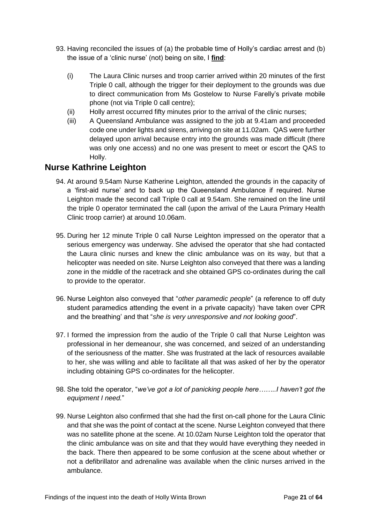- 93. Having reconciled the issues of (a) the probable time of Holly's cardiac arrest and (b) the issue of a 'clinic nurse' (not) being on site, I **find**:
	- (i) The Laura Clinic nurses and troop carrier arrived within 20 minutes of the first Triple 0 call, although the trigger for their deployment to the grounds was due to direct communication from Ms Gostelow to Nurse Farelly's private mobile phone (not via Triple 0 call centre);
	- (ii) Holly arrest occurred fifty minutes prior to the arrival of the clinic nurses;
	- (iii) A Queensland Ambulance was assigned to the job at 9.41am and proceeded code one under lights and sirens, arriving on site at 11.02am. QAS were further delayed upon arrival because entry into the grounds was made difficult (there was only one access) and no one was present to meet or escort the QAS to Holly.

## <span id="page-24-0"></span>**Nurse Kathrine Leighton**

- 94. At around 9.54am Nurse Katherine Leighton, attended the grounds in the capacity of a 'first-aid nurse' and to back up the Queensland Ambulance if required. Nurse Leighton made the second call Triple 0 call at 9.54am. She remained on the line until the triple 0 operator terminated the call (upon the arrival of the Laura Primary Health Clinic troop carrier) at around 10.06am.
- 95. During her 12 minute Triple 0 call Nurse Leighton impressed on the operator that a serious emergency was underway. She advised the operator that she had contacted the Laura clinic nurses and knew the clinic ambulance was on its way, but that a helicopter was needed on site. Nurse Leighton also conveyed that there was a landing zone in the middle of the racetrack and she obtained GPS co-ordinates during the call to provide to the operator.
- 96. Nurse Leighton also conveyed that "*other paramedic people*" (a reference to off duty student paramedics attending the event in a private capacity) 'have taken over CPR and the breathing' and that "*she is very unresponsive and not looking good*".
- 97. I formed the impression from the audio of the Triple 0 call that Nurse Leighton was professional in her demeanour, she was concerned, and seized of an understanding of the seriousness of the matter. She was frustrated at the lack of resources available to her, she was willing and able to facilitate all that was asked of her by the operator including obtaining GPS co-ordinates for the helicopter.
- 98. She told the operator, "*we've got a lot of panicking people here……..I haven't got the equipment I need.*"
- 99. Nurse Leighton also confirmed that she had the first on-call phone for the Laura Clinic and that she was the point of contact at the scene. Nurse Leighton conveyed that there was no satellite phone at the scene. At 10.02am Nurse Leighton told the operator that the clinic ambulance was on site and that they would have everything they needed in the back. There then appeared to be some confusion at the scene about whether or not a defibrillator and adrenaline was available when the clinic nurses arrived in the ambulance.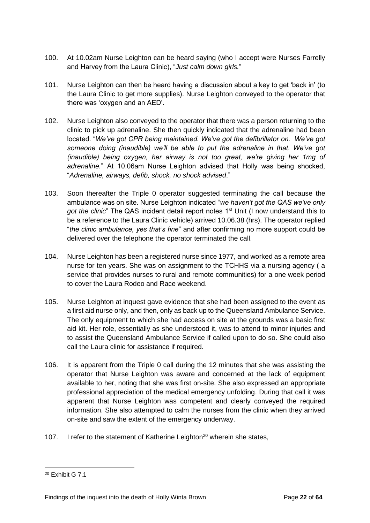- 100. At 10.02am Nurse Leighton can be heard saying (who I accept were Nurses Farrelly and Harvey from the Laura Clinic), "*Just calm down girls.*"
- 101. Nurse Leighton can then be heard having a discussion about a key to get 'back in' (to the Laura Clinic to get more supplies). Nurse Leighton conveyed to the operator that there was 'oxygen and an AED'.
- 102. Nurse Leighton also conveyed to the operator that there was a person returning to the clinic to pick up adrenaline. She then quickly indicated that the adrenaline had been located. "*We've got CPR being maintained. We've got the defibrillator on. We've got someone doing (inaudible) we'll be able to put the adrenaline in that. We've got (inaudible) being oxygen, her airway is not too great, we're giving her 1mg of adrenaline.*" At 10.06am Nurse Leighton advised that Holly was being shocked, "*Adrenaline, airways, defib, shock, no shock advised*."
- 103. Soon thereafter the Triple 0 operator suggested terminating the call because the ambulance was on site. Nurse Leighton indicated "*we haven't got the QAS we've only got the clinic*" The QAS incident detail report notes 1<sup>st</sup> Unit (I now understand this to be a reference to the Laura Clinic vehicle) arrived 10.06.38 (hrs). The operator replied "*the clinic ambulance, yes that's fine*" and after confirming no more support could be delivered over the telephone the operator terminated the call.
- 104. Nurse Leighton has been a registered nurse since 1977, and worked as a remote area nurse for ten years. She was on assignment to the TCHHS via a nursing agency ( a service that provides nurses to rural and remote communities) for a one week period to cover the Laura Rodeo and Race weekend.
- 105. Nurse Leighton at inquest gave evidence that she had been assigned to the event as a first aid nurse only, and then, only as back up to the Queensland Ambulance Service. The only equipment to which she had access on site at the grounds was a basic first aid kit. Her role, essentially as she understood it, was to attend to minor injuries and to assist the Queensland Ambulance Service if called upon to do so. She could also call the Laura clinic for assistance if required.
- 106. It is apparent from the Triple 0 call during the 12 minutes that she was assisting the operator that Nurse Leighton was aware and concerned at the lack of equipment available to her, noting that she was first on-site. She also expressed an appropriate professional appreciation of the medical emergency unfolding. During that call it was apparent that Nurse Leighton was competent and clearly conveyed the required information. She also attempted to calm the nurses from the clinic when they arrived on-site and saw the extent of the emergency underway.
- 107. I refer to the statement of Katherine Leighton<sup>20</sup> wherein she states,

l <sup>20</sup> Exhibit G 7.1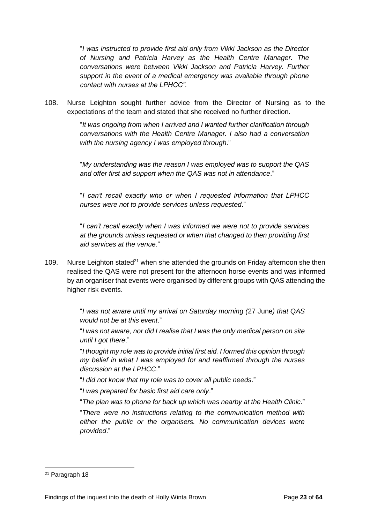"*I was instructed to provide first aid only from Vikki Jackson as the Director of Nursing and Patricia Harvey as the Health Centre Manager. The conversations were between Vikki Jackson and Patricia Harvey. Further support in the event of a medical emergency was available through phone contact with nurses at the LPHCC"*.

108. Nurse Leighton sought further advice from the Director of Nursing as to the expectations of the team and stated that she received no further direction.

> "*It was ongoing from when I arrived and I wanted further clarification through conversations with the Health Centre Manager. I also had a conversation with the nursing agency I was employed through*."

> "*My understanding was the reason I was employed was to support the QAS and offer first aid support when the QAS was not in attendance*."

> "*I can't recall exactly who or when I requested information that LPHCC nurses were not to provide services unless requested*."

> "*I can't recall exactly when I was informed we were not to provide services at the grounds unless requested or when that changed to then providing first aid services at the venue*."

109. Nurse Leighton stated<sup>21</sup> when she attended the grounds on Friday afternoon she then realised the QAS were not present for the afternoon horse events and was informed by an organiser that events were organised by different groups with QAS attending the higher risk events.

> "*I was not aware until my arrival on Saturday morning (*27 June*) that QAS would not be at this event*."

> "*I was not aware, nor did I realise that I was the only medical person on site until I got there*."

> "*I thought my role was to provide initial first aid. I formed this opinion through my belief in what I was employed for and reaffirmed through the nurses discussion at the LPHCC*."

"*I did not know that my role was to cover all public needs*."

"*I was prepared for basic first aid care only*."

"*The plan was to phone for back up which was nearby at the Health Clinic*."

"*There were no instructions relating to the communication method with either the public or the organisers. No communication devices were provided*."

<sup>21</sup> Paragraph 18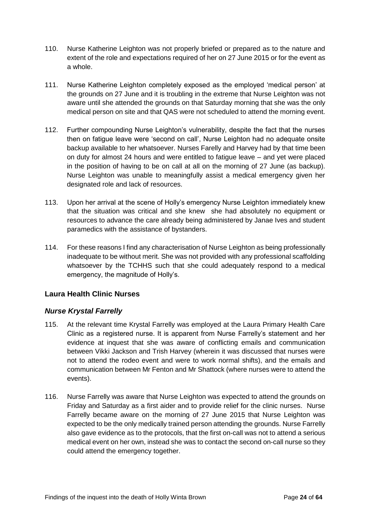- 110. Nurse Katherine Leighton was not properly briefed or prepared as to the nature and extent of the role and expectations required of her on 27 June 2015 or for the event as a whole.
- 111. Nurse Katherine Leighton completely exposed as the employed 'medical person' at the grounds on 27 June and it is troubling in the extreme that Nurse Leighton was not aware until she attended the grounds on that Saturday morning that she was the only medical person on site and that QAS were not scheduled to attend the morning event.
- 112. Further compounding Nurse Leighton's vulnerability, despite the fact that the nurses then on fatigue leave were 'second on call', Nurse Leighton had no adequate onsite backup available to her whatsoever. Nurses Farelly and Harvey had by that time been on duty for almost 24 hours and were entitled to fatigue leave – and yet were placed in the position of having to be on call at all on the morning of 27 June (as backup). Nurse Leighton was unable to meaningfully assist a medical emergency given her designated role and lack of resources.
- 113. Upon her arrival at the scene of Holly's emergency Nurse Leighton immediately knew that the situation was critical and she knew she had absolutely no equipment or resources to advance the care already being administered by Janae Ives and student paramedics with the assistance of bystanders.
- 114. For these reasons I find any characterisation of Nurse Leighton as being professionally inadequate to be without merit. She was not provided with any professional scaffolding whatsoever by the TCHHS such that she could adequately respond to a medical emergency, the magnitude of Holly's.

## <span id="page-27-0"></span>**Laura Health Clinic Nurses**

## <span id="page-27-1"></span>*Nurse Krystal Farrelly*

- 115. At the relevant time Krystal Farrelly was employed at the Laura Primary Health Care Clinic as a registered nurse. It is apparent from Nurse Farrelly's statement and her evidence at inquest that she was aware of conflicting emails and communication between Vikki Jackson and Trish Harvey (wherein it was discussed that nurses were not to attend the rodeo event and were to work normal shifts), and the emails and communication between Mr Fenton and Mr Shattock (where nurses were to attend the events).
- 116. Nurse Farrelly was aware that Nurse Leighton was expected to attend the grounds on Friday and Saturday as a first aider and to provide relief for the clinic nurses. Nurse Farrelly became aware on the morning of 27 June 2015 that Nurse Leighton was expected to be the only medically trained person attending the grounds. Nurse Farrelly also gave evidence as to the protocols, that the first on-call was not to attend a serious medical event on her own, instead she was to contact the second on-call nurse so they could attend the emergency together.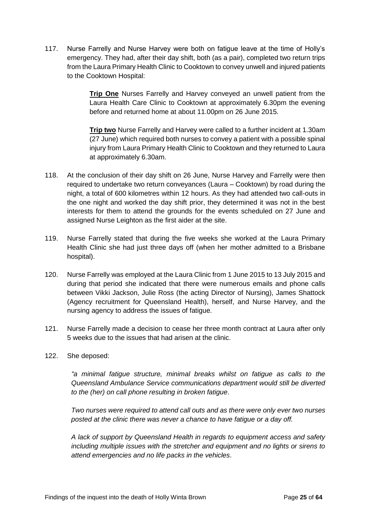117. Nurse Farrelly and Nurse Harvey were both on fatigue leave at the time of Holly's emergency. They had, after their day shift, both (as a pair), completed two return trips from the Laura Primary Health Clinic to Cooktown to convey unwell and injured patients to the Cooktown Hospital:

> **Trip One** Nurses Farrelly and Harvey conveyed an unwell patient from the Laura Health Care Clinic to Cooktown at approximately 6.30pm the evening before and returned home at about 11.00pm on 26 June 2015.

> **Trip two** Nurse Farrelly and Harvey were called to a further incident at 1.30am (27 June) which required both nurses to convey a patient with a possible spinal injury from Laura Primary Health Clinic to Cooktown and they returned to Laura at approximately 6.30am.

- 118. At the conclusion of their day shift on 26 June, Nurse Harvey and Farrelly were then required to undertake two return conveyances (Laura – Cooktown) by road during the night, a total of 600 kilometres within 12 hours. As they had attended two call-outs in the one night and worked the day shift prior, they determined it was not in the best interests for them to attend the grounds for the events scheduled on 27 June and assigned Nurse Leighton as the first aider at the site.
- 119. Nurse Farrelly stated that during the five weeks she worked at the Laura Primary Health Clinic she had just three days off (when her mother admitted to a Brisbane hospital).
- 120. Nurse Farrelly was employed at the Laura Clinic from 1 June 2015 to 13 July 2015 and during that period she indicated that there were numerous emails and phone calls between Vikki Jackson, Julie Ross (the acting Director of Nursing), James Shattock (Agency recruitment for Queensland Health), herself, and Nurse Harvey, and the nursing agency to address the issues of fatigue.
- 121. Nurse Farrelly made a decision to cease her three month contract at Laura after only 5 weeks due to the issues that had arisen at the clinic.
- 122. She deposed:

*"a minimal fatigue structure, minimal breaks whilst on fatigue as calls to the Queensland Ambulance Service communications department would still be diverted to the (her) on call phone resulting in broken fatigue*.

*Two nurses were required to attend call outs and as there were only ever two nurses posted at the clinic there was never a chance to have fatigue or a day off.* 

*A lack of support by Queensland Health in regards to equipment access and safety including multiple issues with the stretcher and equipment and no lights or sirens to attend emergencies and no life packs in the vehicles*.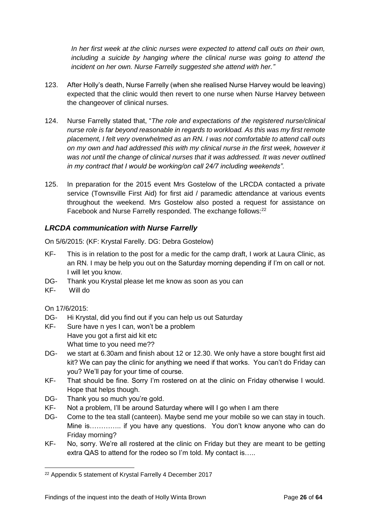*In her first week at the clinic nurses were expected to attend call outs on their own, including a suicide by hanging where the clinical nurse was going to attend the incident on her own. Nurse Farrelly suggested she attend with her."*

- 123. After Holly's death, Nurse Farrelly (when she realised Nurse Harvey would be leaving) expected that the clinic would then revert to one nurse when Nurse Harvey between the changeover of clinical nurses.
- 124. Nurse Farrelly stated that, "*The role and expectations of the registered nurse/clinical nurse role is far beyond reasonable in regards to workload. As this was my first remote placement, I felt very overwhelmed as an RN. I was not comfortable to attend call outs on my own and had addressed this with my clinical nurse in the first week, however it was not until the change of clinical nurses that it was addressed. It was never outlined in my contract that I would be working/on call 24/7 including weekends"*.
- 125. In preparation for the 2015 event Mrs Gostelow of the LRCDA contacted a private service (Townsville First Aid) for first aid / paramedic attendance at various events throughout the weekend. Mrs Gostelow also posted a request for assistance on Facebook and Nurse Farrelly responded. The exchange follows:<sup>22</sup>

## <span id="page-29-0"></span>*LRCDA communication with Nurse Farrelly*

On 5/6/2015: (KF: Krystal Farelly. DG: Debra Gostelow)

- KF- This is in relation to the post for a medic for the camp draft, I work at Laura Clinic, as an RN. I may be help you out on the Saturday morning depending if I'm on call or not. I will let you know.
- DG- Thank you Krystal please let me know as soon as you can
- KF- Will do

On 17/6/2015:

- DG- Hi Krystal, did you find out if you can help us out Saturday
- KF- Sure have n yes I can, won't be a problem Have you got a first aid kit etc What time to you need me??
- DG- we start at 6.30am and finish about 12 or 12.30. We only have a store bought first aid kit? We can pay the clinic for anything we need if that works. You can't do Friday can you? We'll pay for your time of course.
- KF- That should be fine. Sorry I'm rostered on at the clinic on Friday otherwise I would. Hope that helps though.
- DG- Thank you so much you're gold.
- KF- Not a problem, I'll be around Saturday where will I go when I am there
- DG- Come to the tea stall (canteen). Maybe send me your mobile so we can stay in touch. Mine is………….. if you have any questions. You don't know anyone who can do Friday morning?
- KF- No, sorry. We're all rostered at the clinic on Friday but they are meant to be getting extra QAS to attend for the rodeo so I'm told. My contact is…..

l <sup>22</sup> Appendix 5 statement of Krystal Farrelly 4 December 2017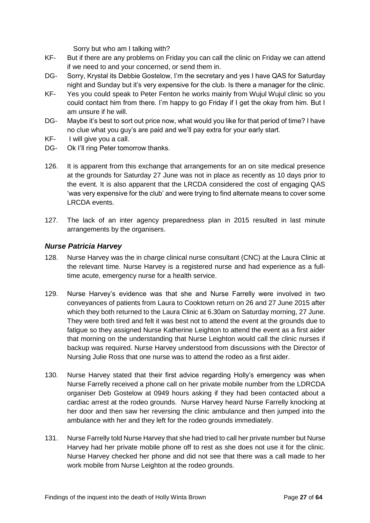Sorry but who am I talking with?

- KF- But if there are any problems on Friday you can call the clinic on Friday we can attend if we need to and your concerned, or send them in.
- DG- Sorry, Krystal its Debbie Gostelow, I'm the secretary and yes I have QAS for Saturday night and Sunday but it's very expensive for the club. Is there a manager for the clinic.
- KF- Yes you could speak to Peter Fenton he works mainly from Wujul Wujul clinic so you could contact him from there. I'm happy to go Friday if I get the okay from him. But I am unsure if he will.
- DG- Maybe it's best to sort out price now, what would you like for that period of time? I have no clue what you guy's are paid and we'll pay extra for your early start.
- KF- I will give you a call.
- DG- Ok I'll ring Peter tomorrow thanks.
- 126. It is apparent from this exchange that arrangements for an on site medical presence at the grounds for Saturday 27 June was not in place as recently as 10 days prior to the event. It is also apparent that the LRCDA considered the cost of engaging QAS 'was very expensive for the club' and were trying to find alternate means to cover some LRCDA events.
- 127. The lack of an inter agency preparedness plan in 2015 resulted in last minute arrangements by the organisers.

#### <span id="page-30-0"></span>*Nurse Patricia Harvey*

- 128. Nurse Harvey was the in charge clinical nurse consultant (CNC) at the Laura Clinic at the relevant time. Nurse Harvey is a registered nurse and had experience as a fulltime acute, emergency nurse for a health service.
- 129. Nurse Harvey's evidence was that she and Nurse Farrelly were involved in two conveyances of patients from Laura to Cooktown return on 26 and 27 June 2015 after which they both returned to the Laura Clinic at 6.30am on Saturday morning, 27 June. They were both tired and felt it was best not to attend the event at the grounds due to fatigue so they assigned Nurse Katherine Leighton to attend the event as a first aider that morning on the understanding that Nurse Leighton would call the clinic nurses if backup was required. Nurse Harvey understood from discussions with the Director of Nursing Julie Ross that one nurse was to attend the rodeo as a first aider.
- 130. Nurse Harvey stated that their first advice regarding Holly's emergency was when Nurse Farrelly received a phone call on her private mobile number from the LDRCDA organiser Deb Gostelow at 0949 hours asking if they had been contacted about a cardiac arrest at the rodeo grounds. Nurse Harvey heard Nurse Farrelly knocking at her door and then saw her reversing the clinic ambulance and then jumped into the ambulance with her and they left for the rodeo grounds immediately.
- 131. Nurse Farrelly told Nurse Harvey that she had tried to call her private number but Nurse Harvey had her private mobile phone off to rest as she does not use it for the clinic. Nurse Harvey checked her phone and did not see that there was a call made to her work mobile from Nurse Leighton at the rodeo grounds.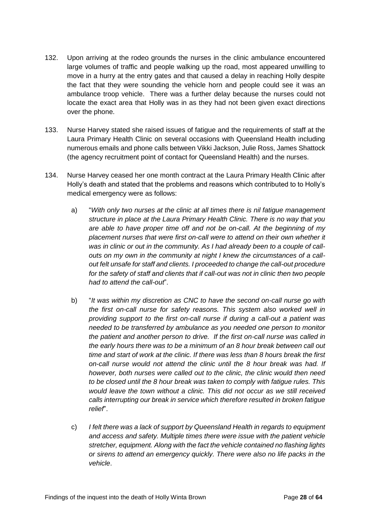- 132. Upon arriving at the rodeo grounds the nurses in the clinic ambulance encountered large volumes of traffic and people walking up the road, most appeared unwilling to move in a hurry at the entry gates and that caused a delay in reaching Holly despite the fact that they were sounding the vehicle horn and people could see it was an ambulance troop vehicle. There was a further delay because the nurses could not locate the exact area that Holly was in as they had not been given exact directions over the phone.
- 133. Nurse Harvey stated she raised issues of fatigue and the requirements of staff at the Laura Primary Health Clinic on several occasions with Queensland Health including numerous emails and phone calls between Vikki Jackson, Julie Ross, James Shattock (the agency recruitment point of contact for Queensland Health) and the nurses.
- 134. Nurse Harvey ceased her one month contract at the Laura Primary Health Clinic after Holly's death and stated that the problems and reasons which contributed to to Holly's medical emergency were as follows:
	- a) "*With only two nurses at the clinic at all times there is nil fatigue management structure in place at the Laura Primary Health Clinic. There is no way that you are able to have proper time off and not be on-call. At the beginning of my placement nurses that were first on-call were to attend on their own whether it was in clinic or out in the community. As I had already been to a couple of callouts on my own in the community at night I knew the circumstances of a callout felt unsafe for staff and clients. I proceeded to change the call-out procedure for the safety of staff and clients that if call-out was not in clinic then two people had to attend the call-out*".
	- b) "*It was within my discretion as CNC to have the second on-call nurse go with the first on-call nurse for safety reasons. This system also worked well in providing support to the first on-call nurse if during a call-out a patient was needed to be transferred by ambulance as you needed one person to monitor the patient and another person to drive. If the first on-call nurse was called in the early hours there was to be a minimum of an 8 hour break between call out time and start of work at the clinic. If there was less than 8 hours break the first on-call nurse would not attend the clinic until the 8 hour break was had. If however, both nurses were called out to the clinic, the clinic would then need to be closed until the 8 hour break was taken to comply with fatigue rules. This would leave the town without a clinic. This did not occur as we still received calls interrupting our break in service which therefore resulted in broken fatigue relief*".
	- c) *I felt there was a lack of support by Queensland Health in regards to equipment and access and safety. Multiple times there were issue with the patient vehicle stretcher, equipment. Along with the fact the vehicle contained no flashing lights or sirens to attend an emergency quickly. There were also no life packs in the vehicle*.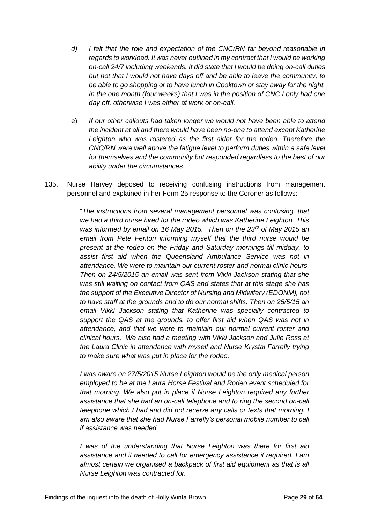- *d) I felt that the role and expectation of the CNC/RN far beyond reasonable in regards to workload. It was never outlined in my contract that I would be working on-call 24/7 including weekends. It did state that I would be doing on-call duties but not that I would not have days off and be able to leave the community, to be able to go shopping or to have lunch in Cooktown or stay away for the night. In the one month (four weeks) that I was in the position of CNC I only had one day off, otherwise I was either at work or on-call.*
- e) *If our other callouts had taken longer we would not have been able to attend the incident at all and there would have been no-one to attend except Katherine*  Leighton who was rostered as the first aider for the rodeo. Therefore the *CNC/RN were well above the fatigue level to perform duties within a safe level for themselves and the community but responded regardless to the best of our ability under the circumstances*.
- 135. Nurse Harvey deposed to receiving confusing instructions from management personnel and explained in her Form 25 response to the Coroner as follows:

"*The instructions from several management personnel was confusing, that we had a third nurse hired for the rodeo which was Katherine Leighton. This was informed by email on 16 May 2015. Then on the 23rd of May 2015 an email from Pete Fenton informing myself that the third nurse would be present at the rodeo on the Friday and Saturday mornings till midday, to assist first aid when the Queensland Ambulance Service was not in attendance. We were to maintain our current roster and normal clinic hours. Then on 24/5/2015 an email was sent from Vikki Jackson stating that she was still waiting on contact from QAS and states that at this stage she has the support of the Executive Director of Nursing and Midwifery (EDONM), not to have staff at the grounds and to do our normal shifts. Then on 25/5/15 an email Vikki Jackson stating that Katherine was specially contracted to support the QAS at the grounds, to offer first aid when QAS was not in attendance, and that we were to maintain our normal current roster and clinical hours. We also had a meeting with Vikki Jackson and Julie Ross at the Laura Clinic in attendance with myself and Nurse Krystal Farrelly trying to make sure what was put in place for the rodeo.* 

*I was aware on 27/5/2015 Nurse Leighton would be the only medical person employed to be at the Laura Horse Festival and Rodeo event scheduled for that morning. We also put in place if Nurse Leighton required any further assistance that she had an on-call telephone and to ring the second on-call telephone which I had and did not receive any calls or texts that morning. I am also aware that she had Nurse Farrelly's personal mobile number to call if assistance was needed.* 

*I was of the understanding that Nurse Leighton was there for first aid assistance and if needed to call for emergency assistance if required. I am almost certain we organised a backpack of first aid equipment as that is all Nurse Leighton was contracted for.*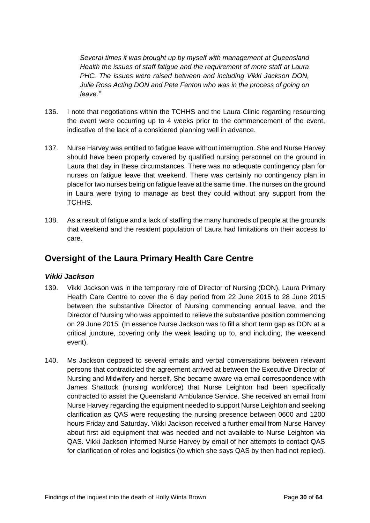*Several times it was brought up by myself with management at Queensland Health the issues of staff fatigue and the requirement of more staff at Laura PHC. The issues were raised between and including Vikki Jackson DON, Julie Ross Acting DON and Pete Fenton who was in the process of going on leave."* 

- 136. I note that negotiations within the TCHHS and the Laura Clinic regarding resourcing the event were occurring up to 4 weeks prior to the commencement of the event, indicative of the lack of a considered planning well in advance.
- 137. Nurse Harvey was entitled to fatigue leave without interruption. She and Nurse Harvey should have been properly covered by qualified nursing personnel on the ground in Laura that day in these circumstances. There was no adequate contingency plan for nurses on fatigue leave that weekend. There was certainly no contingency plan in place for two nurses being on fatigue leave at the same time. The nurses on the ground in Laura were trying to manage as best they could without any support from the TCHHS.
- 138. As a result of fatigue and a lack of staffing the many hundreds of people at the grounds that weekend and the resident population of Laura had limitations on their access to care.

# <span id="page-33-0"></span>**Oversight of the Laura Primary Health Care Centre**

## <span id="page-33-1"></span>*Vikki Jackson*

- 139. Vikki Jackson was in the temporary role of Director of Nursing (DON), Laura Primary Health Care Centre to cover the 6 day period from 22 June 2015 to 28 June 2015 between the substantive Director of Nursing commencing annual leave, and the Director of Nursing who was appointed to relieve the substantive position commencing on 29 June 2015. (In essence Nurse Jackson was to fill a short term gap as DON at a critical juncture, covering only the week leading up to, and including, the weekend event).
- 140. Ms Jackson deposed to several emails and verbal conversations between relevant persons that contradicted the agreement arrived at between the Executive Director of Nursing and Midwifery and herself. She became aware via email correspondence with James Shattock (nursing workforce) that Nurse Leighton had been specifically contracted to assist the Queensland Ambulance Service. She received an email from Nurse Harvey regarding the equipment needed to support Nurse Leighton and seeking clarification as QAS were requesting the nursing presence between 0600 and 1200 hours Friday and Saturday. Vikki Jackson received a further email from Nurse Harvey about first aid equipment that was needed and not available to Nurse Leighton via QAS. Vikki Jackson informed Nurse Harvey by email of her attempts to contact QAS for clarification of roles and logistics (to which she says QAS by then had not replied).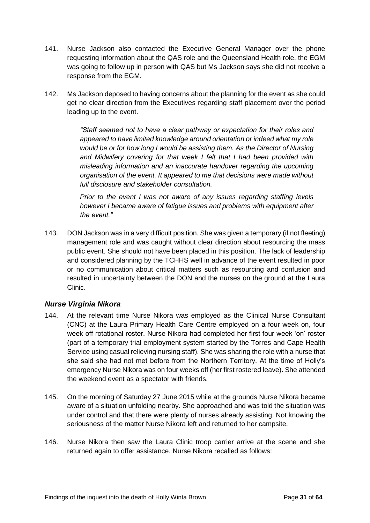- 141. Nurse Jackson also contacted the Executive General Manager over the phone requesting information about the QAS role and the Queensland Health role, the EGM was going to follow up in person with QAS but Ms Jackson says she did not receive a response from the EGM.
- 142. Ms Jackson deposed to having concerns about the planning for the event as she could get no clear direction from the Executives regarding staff placement over the period leading up to the event.

*"Staff seemed not to have a clear pathway or expectation for their roles and appeared to have limited knowledge around orientation or indeed what my role would be or for how long I would be assisting them. As the Director of Nursing and Midwifery covering for that week I felt that I had been provided with misleading information and an inaccurate handover regarding the upcoming organisation of the event. It appeared to me that decisions were made without full disclosure and stakeholder consultation.* 

*Prior to the event I was not aware of any issues regarding staffing levels however I became aware of fatigue issues and problems with equipment after the event."*

143. DON Jackson was in a very difficult position. She was given a temporary (if not fleeting) management role and was caught without clear direction about resourcing the mass public event. She should not have been placed in this position. The lack of leadership and considered planning by the TCHHS well in advance of the event resulted in poor or no communication about critical matters such as resourcing and confusion and resulted in uncertainty between the DON and the nurses on the ground at the Laura Clinic.

## <span id="page-34-0"></span>*Nurse Virginia Nikora*

- 144. At the relevant time Nurse Nikora was employed as the Clinical Nurse Consultant (CNC) at the Laura Primary Health Care Centre employed on a four week on, four week off rotational roster. Nurse Nikora had completed her first four week 'on' roster (part of a temporary trial employment system started by the Torres and Cape Health Service using casual relieving nursing staff). She was sharing the role with a nurse that she said she had not met before from the Northern Territory. At the time of Holly's emergency Nurse Nikora was on four weeks off (her first rostered leave). She attended the weekend event as a spectator with friends.
- 145. On the morning of Saturday 27 June 2015 while at the grounds Nurse Nikora became aware of a situation unfolding nearby. She approached and was told the situation was under control and that there were plenty of nurses already assisting. Not knowing the seriousness of the matter Nurse Nikora left and returned to her campsite.
- 146. Nurse Nikora then saw the Laura Clinic troop carrier arrive at the scene and she returned again to offer assistance. Nurse Nikora recalled as follows: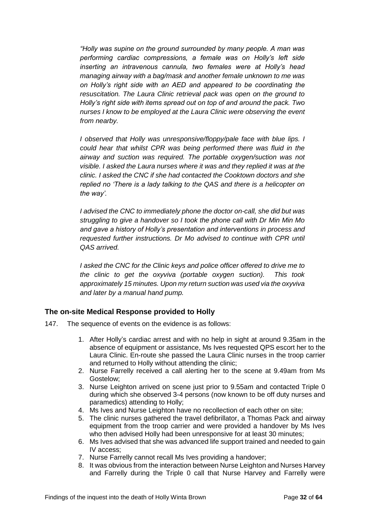*"Holly was supine on the ground surrounded by many people. A man was performing cardiac compressions, a female was on Holly's left side inserting an intravenous cannula, two females were at Holly's head managing airway with a bag/mask and another female unknown to me was on Holly's right side with an AED and appeared to be coordinating the resuscitation. The Laura Clinic retrieval pack was open on the ground to Holly's right side with items spread out on top of and around the pack. Two nurses I know to be employed at the Laura Clinic were observing the event from nearby.* 

*I* observed that Holly was unresponsive/floppy/pale face with blue lips. I *could hear that whilst CPR was being performed there was fluid in the airway and suction was required. The portable oxygen/suction was not visible. I asked the Laura nurses where it was and they replied it was at the clinic. I asked the CNC if she had contacted the Cooktown doctors and she replied no 'There is a lady talking to the QAS and there is a helicopter on the way'.* 

*I advised the CNC to immediately phone the doctor on-call, she did but was struggling to give a handover so I took the phone call with Dr Min Min Mo and gave a history of Holly's presentation and interventions in process and requested further instructions. Dr Mo advised to continue with CPR until QAS arrived.* 

*I asked the CNC for the Clinic keys and police officer offered to drive me to the clinic to get the oxyviva (portable oxygen suction). This took approximately 15 minutes. Upon my return suction was used via the oxyviva and later by a manual hand pump.* 

## **The on-site Medical Response provided to Holly**

- 147. The sequence of events on the evidence is as follows:
	- 1. After Holly's cardiac arrest and with no help in sight at around 9.35am in the absence of equipment or assistance, Ms Ives requested QPS escort her to the Laura Clinic. En-route she passed the Laura Clinic nurses in the troop carrier and returned to Holly without attending the clinic;
	- 2. Nurse Farrelly received a call alerting her to the scene at 9.49am from Ms Gostelow;
	- 3. Nurse Leighton arrived on scene just prior to 9.55am and contacted Triple 0 during which she observed 3-4 persons (now known to be off duty nurses and paramedics) attending to Holly;
	- 4. Ms Ives and Nurse Leighton have no recollection of each other on site;
	- 5. The clinic nurses gathered the travel defibrillator, a Thomas Pack and airway equipment from the troop carrier and were provided a handover by Ms Ives who then advised Holly had been unresponsive for at least 30 minutes;
	- 6. Ms Ives advised that she was advanced life support trained and needed to gain IV access;
	- 7. Nurse Farrelly cannot recall Ms Ives providing a handover;
	- 8. It was obvious from the interaction between Nurse Leighton and Nurses Harvey and Farrelly during the Triple 0 call that Nurse Harvey and Farrelly were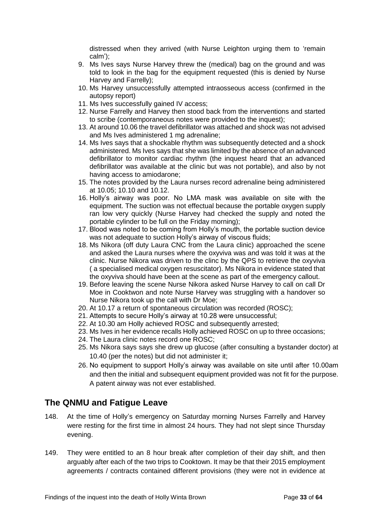distressed when they arrived (with Nurse Leighton urging them to 'remain calm');

- 9. Ms Ives says Nurse Harvey threw the (medical) bag on the ground and was told to look in the bag for the equipment requested (this is denied by Nurse Harvey and Farrelly);
- 10. Ms Harvey unsuccessfully attempted intraosseous access (confirmed in the autopsy report)
- 11. Ms Ives successfully gained IV access;
- 12. Nurse Farrelly and Harvey then stood back from the interventions and started to scribe (contemporaneous notes were provided to the inquest);
- 13. At around 10.06 the travel defibrillator was attached and shock was not advised and Ms Ives administered 1 mg adrenaline;
- 14. Ms Ives says that a shockable rhythm was subsequently detected and a shock administered. Ms Ives says that she was limited by the absence of an advanced defibrillator to monitor cardiac rhythm (the inquest heard that an advanced defibrillator was available at the clinic but was not portable), and also by not having access to amiodarone;
- 15. The notes provided by the Laura nurses record adrenaline being administered at 10.05; 10.10 and 10.12.
- 16. Holly's airway was poor. No LMA mask was available on site with the equipment. The suction was not effectual because the portable oxygen supply ran low very quickly (Nurse Harvey had checked the supply and noted the portable cylinder to be full on the Friday morning);
- 17. Blood was noted to be coming from Holly's mouth, the portable suction device was not adequate to suction Holly's airway of viscous fluids;
- 18. Ms Nikora (off duty Laura CNC from the Laura clinic) approached the scene and asked the Laura nurses where the oxyviva was and was told it was at the clinic. Nurse Nikora was driven to the clinc by the QPS to retrieve the oxyviva ( a specialised medical oxygen resuscitator). Ms Nikora in evidence stated that the oxyviva should have been at the scene as part of the emergency callout.
- 19. Before leaving the scene Nurse Nikora asked Nurse Harvey to call on call Dr Moe in Cooktwon and note Nurse Harvey was struggling with a handover so Nurse Nikora took up the call with Dr Moe;
- 20. At 10.17 a return of spontaneous circulation was recorded (ROSC);
- 21. Attempts to secure Holly's airway at 10.28 were unsuccessful;
- 22. At 10.30 am Holly achieved ROSC and subsequently arrested;
- 23. Ms Ives in her evidence recalls Holly achieved ROSC on up to three occasions;
- 24. The Laura clinic notes record one ROSC;
- 25. Ms Nikora says says she drew up glucose (after consulting a bystander doctor) at 10.40 (per the notes) but did not administer it;
- 26. No equipment to support Holly's airway was available on site until after 10.00am and then the initial and subsequent equipment provided was not fit for the purpose. A patent airway was not ever established.

# <span id="page-36-0"></span>**The QNMU and Fatigue Leave**

- 148. At the time of Holly's emergency on Saturday morning Nurses Farrelly and Harvey were resting for the first time in almost 24 hours. They had not slept since Thursday evening.
- 149. They were entitled to an 8 hour break after completion of their day shift, and then arguably after each of the two trips to Cooktown. It may be that their 2015 employment agreements / contracts contained different provisions (they were not in evidence at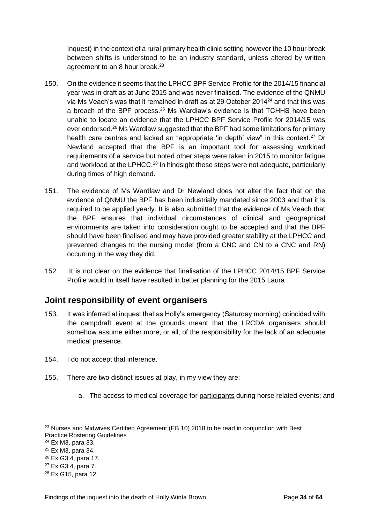Inquest) in the context of a rural primary health clinic setting however the 10 hour break between shifts is understood to be an industry standard, unless altered by written agreement to an 8 hour break.<sup>23</sup>

- 150. On the evidence it seems that the LPHCC BPF Service Profile for the 2014/15 financial year was in draft as at June 2015 and was never finalised. The evidence of the QNMU via Ms Veach's was that it remained in draft as at 29 October 2014<sup>24</sup> and that this was a breach of the BPF process.<sup>25</sup> Ms Wardlaw's evidence is that TCHHS have been unable to locate an evidence that the LPHCC BPF Service Profile for 2014/15 was ever endorsed.<sup>26</sup> Ms Wardlaw suggested that the BPF had some limitations for primary health care centres and lacked an "appropriate 'in depth' view" in this context.<sup>27</sup> Dr Newland accepted that the BPF is an important tool for assessing workload requirements of a service but noted other steps were taken in 2015 to monitor fatigue and workload at the LPHCC.<sup>28</sup> In hindsight these steps were not adequate, particularly during times of high demand.
- 151. The evidence of Ms Wardlaw and Dr Newland does not alter the fact that on the evidence of QNMU the BPF has been industrially mandated since 2003 and that it is required to be applied yearly. It is also submitted that the evidence of Ms Veach that the BPF ensures that individual circumstances of clinical and geographical environments are taken into consideration ought to be accepted and that the BPF should have been finalised and may have provided greater stability at the LPHCC and prevented changes to the nursing model (from a CNC and CN to a CNC and RN) occurring in the way they did.
- 152. It is not clear on the evidence that finalisation of the LPHCC 2014/15 BPF Service Profile would in itself have resulted in better planning for the 2015 Laura

# <span id="page-37-0"></span>**Joint responsibility of event organisers**

- 153. It was inferred at inquest that as Holly's emergency (Saturday morning) coincided with the campdraft event at the grounds meant that the LRCDA organisers should somehow assume either more, or all, of the responsibility for the lack of an adequate medical presence.
- 154. I do not accept that inference.
- 155. There are two distinct issues at play, in my view they are:
	- a. The access to medical coverage for participants during horse related events; and

<sup>&</sup>lt;sup>23</sup> Nurses and Midwives Certified Agreement (EB 10) 2018 to be read in conjunction with Best Practice Rostering Guidelines

<sup>24</sup> Ex M3, para 33.

<sup>25</sup> Ex M3, para 34.

<sup>26</sup> Ex G3.4, para 17.

<sup>27</sup> Ex G3.4, para 7.

<sup>28</sup> Ex G15, para 12.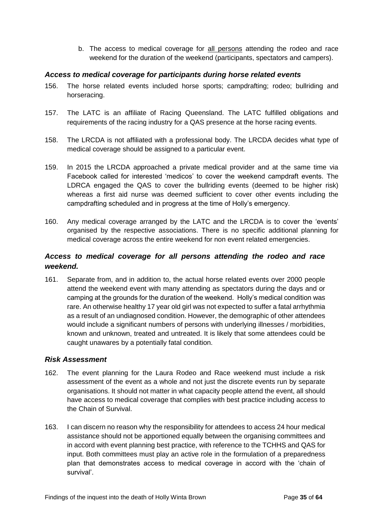b. The access to medical coverage for all persons attending the rodeo and race weekend for the duration of the weekend (participants, spectators and campers).

#### <span id="page-38-0"></span>*Access to medical coverage for participants during horse related events*

- 156. The horse related events included horse sports; campdrafting; rodeo; bullriding and horseracing.
- 157. The LATC is an affiliate of Racing Queensland. The LATC fulfilled obligations and requirements of the racing industry for a QAS presence at the horse racing events.
- 158. The LRCDA is not affiliated with a professional body. The LRCDA decides what type of medical coverage should be assigned to a particular event.
- 159. In 2015 the LRCDA approached a private medical provider and at the same time via Facebook called for interested 'medicos' to cover the weekend campdraft events. The LDRCA engaged the QAS to cover the bullriding events (deemed to be higher risk) whereas a first aid nurse was deemed sufficient to cover other events including the campdrafting scheduled and in progress at the time of Holly's emergency.
- 160. Any medical coverage arranged by the LATC and the LRCDA is to cover the 'events' organised by the respective associations. There is no specific additional planning for medical coverage across the entire weekend for non event related emergencies.

## <span id="page-38-1"></span>*Access to medical coverage for all persons attending the rodeo and race weekend.*

161. Separate from, and in addition to, the actual horse related events over 2000 people attend the weekend event with many attending as spectators during the days and or camping at the grounds for the duration of the weekend. Holly's medical condition was rare. An otherwise healthy 17 year old girl was not expected to suffer a fatal arrhythmia as a result of an undiagnosed condition. However, the demographic of other attendees would include a significant numbers of persons with underlying illnesses / morbidities, known and unknown, treated and untreated. It is likely that some attendees could be caught unawares by a potentially fatal condition.

#### <span id="page-38-2"></span>*Risk Assessment*

- 162. The event planning for the Laura Rodeo and Race weekend must include a risk assessment of the event as a whole and not just the discrete events run by separate organisations. It should not matter in what capacity people attend the event, all should have access to medical coverage that complies with best practice including access to the Chain of Survival.
- 163. I can discern no reason why the responsibility for attendees to access 24 hour medical assistance should not be apportioned equally between the organising committees and in accord with event planning best practice, with reference to the TCHHS and QAS for input. Both committees must play an active role in the formulation of a preparedness plan that demonstrates access to medical coverage in accord with the 'chain of survival'.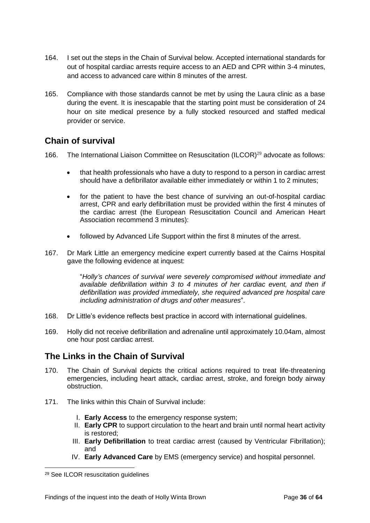- 164. I set out the steps in the Chain of Survival below. Accepted international standards for out of hospital cardiac arrests require access to an AED and CPR within 3-4 minutes, and access to advanced care within 8 minutes of the arrest.
- 165. Compliance with those standards cannot be met by using the Laura clinic as a base during the event. It is inescapable that the starting point must be consideration of 24 hour on site medical presence by a fully stocked resourced and staffed medical provider or service.

# <span id="page-39-0"></span>**Chain of survival**

166. The International Liaison Committee on Resuscitation (ILCOR)<sup>29</sup> advocate as follows:

- that health professionals who have a duty to respond to a person in cardiac arrest should have a defibrillator available either immediately or within 1 to 2 minutes;
- for the patient to have the best chance of surviving an out-of-hospital cardiac arrest, CPR and early [defibrillation](https://www.zoll.com/au/medical-technology/defibrillation/) must be provided within the first 4 minutes of the cardiac arrest (the European Resuscitation Council and American Heart Association recommend 3 minutes):
- followed by Advanced Life Support within the first 8 minutes of the arrest.
- 167. Dr Mark Little an emergency medicine expert currently based at the Cairns Hospital gave the following evidence at inquest:

"*Holly's chances of survival were severely compromised without immediate and available defibrillation within 3 to 4 minutes of her cardiac event, and then if defibrillation was provided immediately, she required advanced pre hospital care including administration of drugs and other measures*".

- 168. Dr Little's evidence reflects best practice in accord with international guidelines.
- 169. Holly did not receive defibrillation and adrenaline until approximately 10.04am, almost one hour post cardiac arrest.

# <span id="page-39-1"></span>**The Links in the Chain of Survival**

- 170. The Chain of Survival depicts the critical actions required to treat life-threatening emergencies, including heart attack, cardiac arrest, stroke, and foreign body airway obstruction.
- 171. The links within this Chain of Survival include:
	- I. **Early Access** to the emergency response system;
	- II. **Early CPR** to support circulation to the heart and brain until normal heart activity is restored;
	- III. **Early Defibrillation** to treat cardiac arrest (caused by Ventricular Fibrillation); and
	- IV. **Early Advanced Care** by EMS (emergency service) and hospital personnel.

<sup>29</sup> See ILCOR resuscitation guidelines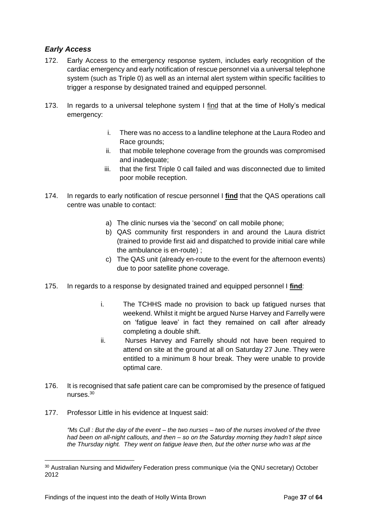## <span id="page-40-0"></span>*Early Access*

- 172. Early Access to the emergency response system, includes early recognition of the cardiac emergency and early notification of rescue personnel via a universal telephone system (such as Triple 0) as well as an internal alert system within specific facilities to trigger a response by designated trained and equipped personnel.
- 173. In regards to a universal telephone system I find that at the time of Holly's medical emergency:
	- i. There was no access to a landline telephone at the Laura Rodeo and Race grounds;
	- ii. that mobile telephone coverage from the grounds was compromised and inadequate;
	- iii. that the first Triple 0 call failed and was disconnected due to limited poor mobile reception.
- 174. In regards to early notification of rescue personnel I **find** that the QAS operations call centre was unable to contact:
	- a) The clinic nurses via the 'second' on call mobile phone;
	- b) QAS community first responders in and around the Laura district (trained to provide first aid and dispatched to provide initial care while the ambulance is en-route) ;
	- c) The QAS unit (already en-route to the event for the afternoon events) due to poor satellite phone coverage.
- 175. In regards to a response by designated trained and equipped personnel I **find**:
	- i. The TCHHS made no provision to back up fatigued nurses that weekend. Whilst it might be argued Nurse Harvey and Farrelly were on 'fatigue leave' in fact they remained on call after already completing a double shift.
	- ii. Nurses Harvey and Farrelly should not have been required to attend on site at the ground at all on Saturday 27 June. They were entitled to a minimum 8 hour break. They were unable to provide optimal care.
- 176. It is recognised that safe patient care can be compromised by the presence of fatigued nurses.<sup>30</sup>
- 177. Professor Little in his evidence at Inquest said:

*"Ms Cull : But the day of the event – the two nurses – two of the nurses involved of the three had been on all-night callouts, and then – so on the Saturday morning they hadn't slept since the Thursday night. They went on fatigue leave then, but the other nurse who was at the* 

<sup>30</sup> Australian Nursing and Midwifery Federation press communique (via the QNU secretary) October 2012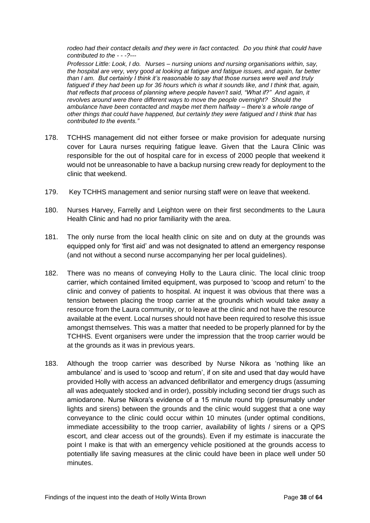*rodeo had their contact details and they were in fact contacted. Do you think that could have contributed to the - - -?---*

*Professor Little: Look, I do. Nurses – nursing unions and nursing organisations within, say, the hospital are very, very good at looking at fatigue and fatigue issues, and again, far better than I am. But certainly I think it's reasonable to say that those nurses were well and truly fatigued if they had been up for 36 hours which is what it sounds like, and I think that, again, that reflects that process of planning where people haven't said, "What if?" And again, it revolves around were there different ways to move the people overnight? Should the ambulance have been contacted and maybe met them halfway – there's a whole range of other things that could have happened, but certainly they were fatigued and I think that has contributed to the events."*

- 178. TCHHS management did not either forsee or make provision for adequate nursing cover for Laura nurses requiring fatigue leave. Given that the Laura Clinic was responsible for the out of hospital care for in excess of 2000 people that weekend it would not be unreasonable to have a backup nursing crew ready for deployment to the clinic that weekend.
- 179. Key TCHHS management and senior nursing staff were on leave that weekend.
- 180. Nurses Harvey, Farrelly and Leighton were on their first secondments to the Laura Health Clinic and had no prior familiarity with the area.
- 181. The only nurse from the local health clinic on site and on duty at the grounds was equipped only for 'first aid' and was not designated to attend an emergency response (and not without a second nurse accompanying her per local guidelines).
- 182. There was no means of conveying Holly to the Laura clinic. The local clinic troop carrier, which contained limited equipment, was purposed to 'scoop and return' to the clinic and convey of patients to hospital. At inquest it was obvious that there was a tension between placing the troop carrier at the grounds which would take away a resource from the Laura community, or to leave at the clinic and not have the resource available at the event. Local nurses should not have been required to resolve this issue amongst themselves. This was a matter that needed to be properly planned for by the TCHHS. Event organisers were under the impression that the troop carrier would be at the grounds as it was in previous years.
- 183. Although the troop carrier was described by Nurse Nikora as 'nothing like an ambulance' and is used to 'scoop and return', if on site and used that day would have provided Holly with access an advanced defibrillator and emergency drugs (assuming all was adequately stocked and in order), possibly including second tier drugs such as amiodarone. Nurse Nikora's evidence of a 15 minute round trip (presumably under lights and sirens) between the grounds and the clinic would suggest that a one way conveyance to the clinic could occur within 10 minutes (under optimal conditions, immediate accessibility to the troop carrier, availability of lights / sirens or a QPS escort, and clear access out of the grounds). Even if my estimate is inaccurate the point I make is that with an emergency vehicle positioned at the grounds access to potentially life saving measures at the clinic could have been in place well under 50 minutes.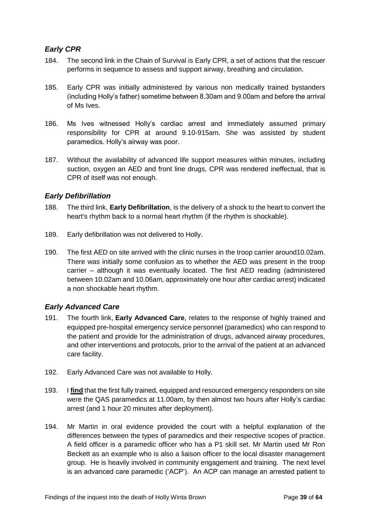## <span id="page-42-0"></span>*Early CPR*

- 184. The second link in the Chain of Survival is Early CPR, a set of actions that the rescuer performs in sequence to assess and support airway, breathing and circulation.
- 185. Early CPR was initially administered by various non medically trained bystanders (including Holly's father) sometime between 8.30am and 9.00am and before the arrival of Ms Ives.
- 186. Ms Ives witnessed Holly's cardiac arrest and immediately assumed primary responsibility for CPR at around 9.10-915am. She was assisted by student paramedics. Holly's airway was poor.
- 187. Without the availability of advanced life support measures within minutes, including suction, oxygen an AED and front line drugs, CPR was rendered ineffectual, that is CPR of itself was not enough.

## <span id="page-42-1"></span>*Early Defibrillation*

- 188. The third link, **Early Defibrillation**, is the delivery of a shock to the heart to convert the heart's rhythm back to a normal heart rhythm (if the rhythm is shockable).
- 189. Early defibrillation was not delivered to Holly.
- 190. The first AED on site arrived with the clinic nurses in the troop carrier around10.02am. There was initially some confusion as to whether the AED was present in the troop carrier – although it was eventually located. The first AED reading (administered between 10.02am and 10.06am, approximately one hour after cardiac arrest) indicated a non shockable heart rhythm.

## <span id="page-42-2"></span>*Early Advanced Care*

- 191. The fourth link, **Early Advanced Care**, relates to the response of highly trained and equipped pre-hospital [emergency service personnel \(paramedics\)](https://www.zoll.com/au/medical-markets/ems/) who can respond to the patient and provide for the administration of drugs, advanced airway procedures, and other interventions and protocols, prior to the arrival of the patient at an advanced care facility.
- 192. Early Advanced Care was not available to Holly.
- 193. I **find** that the first fully trained, equipped and resourced emergency responders on site were the QAS paramedics at 11.00am, by then almost two hours after Holly's cardiac arrest (and 1 hour 20 minutes after deployment).
- 194. Mr Martin in oral evidence provided the court with a helpful explanation of the differences between the types of paramedics and their respective scopes of practice. A field officer is a paramedic officer who has a P1 skill set. Mr Martin used Mr Ron Beckett as an example who is also a liaison officer to the local disaster management group. He is heavily involved in community engagement and training. The next level is an advanced care paramedic ('ACP'). An ACP can manage an arrested patient to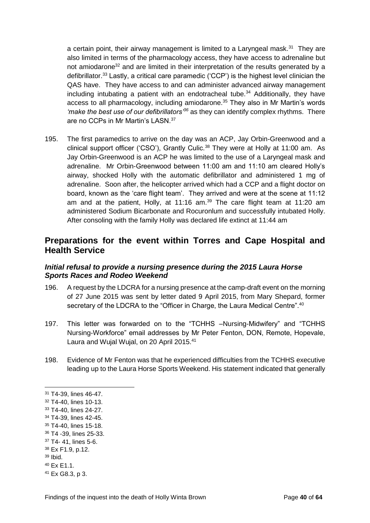a certain point, their airway management is limited to a Laryngeal mask.<sup>31</sup> They are also limited in terms of the pharmacology access, they have access to adrenaline but not amiodarone<sup>32</sup> and are limited in their interpretation of the results generated by a defibrillator.<sup>33</sup> Lastly, a critical care paramedic ('CCP') is the highest level clinician the QAS have. They have access to and can administer advanced airway management including intubating a patient with an endotracheal tube.<sup>34</sup> Additionally, they have access to all pharmacology, including amiodarone.<sup>35</sup> They also in Mr Martin's words *'make the best use of our defibrillators'<sup>36</sup>* as they can identify complex rhythms. There are no CCPs in Mr Martin's LASN.<sup>37</sup>

195. The first paramedics to arrive on the day was an ACP, Jay Orbin-Greenwood and a clinical support officer ('CSO'), Grantly Culic.<sup>38</sup> They were at Holly at 11:00 am. As Jay Orbin-Greenwood is an ACP he was limited to the use of a Laryngeal mask and adrenaline. Mr Orbin-Greenwood between 11:00 am and 11:10 am cleared Holly's airway, shocked Holly with the automatic defibrillator and administered 1 mg of adrenaline. Soon after, the helicopter arrived which had a CCP and a flight doctor on board, known as the 'care flight team'. They arrived and were at the scene at 11:12 am and at the patient, Holly, at 11:16 am.<sup>39</sup> The care flight team at 11:20 am administered Sodium Bicarbonate and Rocuronlum and successfully intubated Holly. After consoling with the family Holly was declared life extinct at 11:44 am

## <span id="page-43-0"></span>**Preparations for the event within Torres and Cape Hospital and Health Service**

## <span id="page-43-1"></span>*Initial refusal to provide a nursing presence during the 2015 Laura Horse Sports Races and Rodeo Weekend*

- 196. A request by the LDCRA for a nursing presence at the camp-draft event on the morning of 27 June 2015 was sent by letter dated 9 April 2015, from Mary Shepard, former secretary of the LDCRA to the "Officer in Charge, the Laura Medical Centre".<sup>40</sup>
- 197. This letter was forwarded on to the "TCHHS –Nursing-Midwifery" and "TCHHS Nursing-Workforce" email addresses by Mr Peter Fenton, DON, Remote, Hopevale, Laura and Wujal Wujal, on 20 April 2015.<sup>41</sup>
- 198. Evidence of Mr Fenton was that he experienced difficulties from the TCHHS executive leading up to the Laura Horse Sports Weekend. His statement indicated that generally

l

<sup>40</sup> Ex E1.1.

<sup>31</sup> T4-39, lines 46-47.

<sup>32</sup> T4-40, lines 10-13.

<sup>33</sup> T4-40, lines 24-27.

<sup>34</sup> T4-39, lines 42-45.

<sup>35</sup> T4-40, lines 15-18.

<sup>36</sup> T4 -39, lines 25-33.

<sup>37</sup> T4- 41, lines 5-6.

<sup>38</sup> Ex F1.9, p.12.

<sup>39</sup> Ibid.

<sup>41</sup> Ex G8.3, p 3.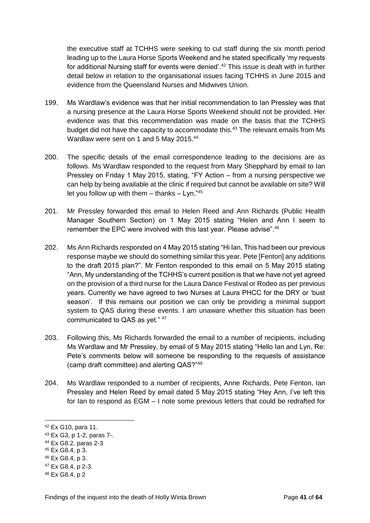the executive staff at TCHHS were seeking to cut staff during the six month period leading up to the Laura Horse Sports Weekend and he stated specifically 'my requests for additional Nursing staff for events were denied'.<sup>42</sup> This issue is dealt with in further detail below in relation to the organisational issues facing TCHHS in June 2015 and evidence from the Queensland Nurses and Midwives Union.

- 199. Ms Wardlaw's evidence was that her initial recommendation to Ian Pressley was that a nursing presence at the Laura Horse Sports Weekend should not be provided. Her evidence was that this recommendation was made on the basis that the TCHHS budget did not have the capacity to accommodate this.<sup>43</sup> The relevant emails from Ms Wardlaw were sent on 1 and 5 May 2015.<sup>44</sup>
- 200. The specific details of the email correspondence leading to the decisions are as follows. Ms Wardlaw responded to the request from Mary Shepphard by email to Ian Pressley on Friday 1 May 2015, stating, "FY Action – from a nursing perspective we can help by being available at the clinic if required but cannot be available on site? Will let you follow up with them – thanks –  $Lyn.^{45}$
- 201. Mr Pressley forwarded this email to Helen Reed and Ann Richards (Public Health Manager Southern Section) on 1 May 2015 stating "Helen and Ann I seem to remember the EPC were involved with this last year. Please advise".<sup>46</sup>
- 202. Ms Ann Richards responded on 4 May 2015 stating "Hi Ian, This had been our previous response maybe we should do something similar this year. Pete [Fenton] any additions to the draft 2015 plan?". Mr Fenton responded to this email on 5 May 2015 stating "Ann, My understanding of the TCHHS's current position is that we have not yet agreed on the provision of a third nurse for the Laura Dance Festival or Rodeo as per previous years. Currently we have agreed to two Nurses at Laura PHCC for the DRY or 'bust season'. If this remains our position we can only be providing a minimal support system to QAS during these events. I am unaware whether this situation has been communicated to QAS as yet." <sup>47</sup>
- 203. Following this, Ms Richards forwarded the email to a number of recipients, including Ms Wardlaw and Mr Pressley, by email of 5 May 2015 stating "Hello Ian and Lyn, Re: Pete's comments below will someone be responding to the requests of assistance (camp draft committee) and alerting QAS?"<sup>48</sup>
- 204. Ms Wardlaw responded to a number of recipients, Anne Richards, Pete Fenton, Ian Pressley and Helen Reed by email dated 5 May 2015 stating "Hey Ann, I've left this for Ian to respond as EGM – I note some previous letters that could be redrafted for

<sup>42</sup> Ex G10, para 11.

<sup>43</sup> Ex G3, p 1-2, paras 7-.

<sup>44</sup> Ex G8.2, paras 2-3

<sup>45</sup> Ex G8.4, p 3.

<sup>46</sup> Ex G8.4, p 3.

<sup>47</sup> Ex G8.4, p 2-3.

<sup>48</sup> Ex G8.4, p 2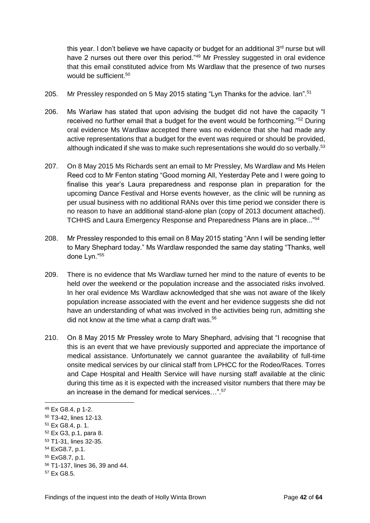this year. I don't believe we have capacity or budget for an additional 3rd nurse but will have 2 nurses out there over this period."<sup>49</sup> Mr Pressley suggested in oral evidence that this email constituted advice from Ms Wardlaw that the presence of two nurses would be sufficient.<sup>50</sup>

- 205. Mr Pressley responded on 5 May 2015 stating "Lyn Thanks for the advice. Ian".<sup>51</sup>
- 206. Ms Warlaw has stated that upon advising the budget did not have the capacity "I received no further email that a budget for the event would be forthcoming."<sup>52</sup> During oral evidence Ms Wardlaw accepted there was no evidence that she had made any active representations that a budget for the event was required or should be provided, although indicated if she was to make such representations she would do so verbally. $^{\rm 53}$
- 207. On 8 May 2015 Ms Richards sent an email to Mr Pressley, Ms Wardlaw and Ms Helen Reed ccd to Mr Fenton stating "Good morning All, Yesterday Pete and I were going to finalise this year's Laura preparedness and response plan in preparation for the upcoming Dance Festival and Horse events however, as the clinic will be running as per usual business with no additional RANs over this time period we consider there is no reason to have an additional stand-alone plan (copy of 2013 document attached). TCHHS and Laura Emergency Response and Preparedness Plans are in place..."<sup>54</sup>
- 208. Mr Pressley responded to this email on 8 May 2015 stating "Ann I will be sending letter to Mary Shephard today." Ms Wardlaw responded the same day stating "Thanks, well done Lyn."<sup>55</sup>
- 209. There is no evidence that Ms Wardlaw turned her mind to the nature of events to be held over the weekend or the population increase and the associated risks involved. In her oral evidence Ms Wardlaw acknowledged that she was not aware of the likely population increase associated with the event and her evidence suggests she did not have an understanding of what was involved in the activities being run, admitting she did not know at the time what a camp draft was.<sup>56</sup>
- 210. On 8 May 2015 Mr Pressley wrote to Mary Shephard, advising that "I recognise that this is an event that we have previously supported and appreciate the importance of medical assistance. Unfortunately we cannot guarantee the availability of full-time onsite medical services by our clinical staff from LPHCC for the Rodeo/Races. Torres and Cape Hospital and Health Service will have nursing staff available at the clinic during this time as it is expected with the increased visitor numbers that there may be an increase in the demand for medical services...".<sup>57</sup>

<sup>49</sup> Ex G8.4, p 1-2.

<sup>50</sup> T3-42, lines 12-13.

<sup>51</sup> Ex G8.4, p. 1.

<sup>52</sup> Ex G3, p.1, para 8.

<sup>53</sup> T1-31, lines 32-35.

<sup>54</sup> ExG8.7, p.1.

<sup>55</sup> ExG8.7, p.1.

<sup>56</sup> T1-137, lines 36, 39 and 44.

<sup>57</sup> Ex G8.5.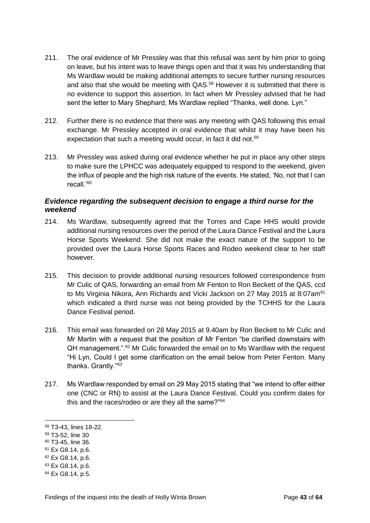- 211. The oral evidence of Mr Pressley was that this refusal was sent by him prior to going on leave, but his intent was to leave things open and that it was his understanding that Ms Wardlaw would be making additional attempts to secure further nursing resources and also that she would be meeting with QAS.<sup>58</sup> However it is submitted that there is no evidence to support this assertion. In fact when Mr Pressley advised that he had sent the letter to Mary Shephard, Ms Wardlaw replied "Thanks, well done. Lyn."
- 212. Further there is no evidence that there was any meeting with QAS following this email exchange. Mr Pressley accepted in oral evidence that whilst it may have been his expectation that such a meeting would occur, in fact it did not.<sup>59</sup>
- 213. Mr Pressley was asked during oral evidence whether he put in place any other steps to make sure the LPHCC was adequately equipped to respond to the weekend, given the influx of people and the high risk nature of the events. He stated, 'No, not that I can recall.'<sup>60</sup>

## <span id="page-46-0"></span>*Evidence regarding the subsequent decision to engage a third nurse for the weekend*

- 214. Ms Wardlaw, subsequently agreed that the Torres and Cape HHS would provide additional nursing resources over the period of the Laura Dance Festival and the Laura Horse Sports Weekend. She did not make the exact nature of the support to be provided over the Laura Horse Sports Races and Rodeo weekend clear to her staff however.
- 215. This decision to provide additional nursing resources followed correspondence from Mr Culic of QAS, forwarding an email from Mr Fenton to Ron Beckett of the QAS, ccd to Ms Virginia Nikora, Ann Richards and Vicki Jackson on 27 May 2015 at 8:07am<sup>61</sup> which indicated a third nurse was not being provided by the TCHHS for the Laura Dance Festival period.
- 216. This email was forwarded on 28 May 2015 at 9.40am by Ron Beckett to Mr Culic and Mr Martin with a request that the position of Mr Fenton "be clarified downstairs with QH management.".<sup>62</sup> Mr Culic forwarded the email on to Ms Wardlaw with the request "Hi Lyn, Could I get some clarification on the email below from Peter Fenton. Many thanks. Grantly."<sup>63</sup>
- 217. Ms Wardlaw responded by email on 29 May 2015 stating that "we intend to offer either one (CNC or RN) to assist at the Laura Dance Festival. Could you confirm dates for this and the races/rodeo or are they all the same?"<sup>64</sup>

<sup>59</sup> T3-52, line 30

- <sup>60</sup> T3-45, line 36.
- <sup>61</sup> Ex G8.14, p.6.
- <sup>62</sup> Ex G8.14, p.6.
- <sup>63</sup> Ex G8.14, p.6.

<sup>58</sup> T3-43, lines 18-22.

<sup>64</sup> Ex G8.14, p.5.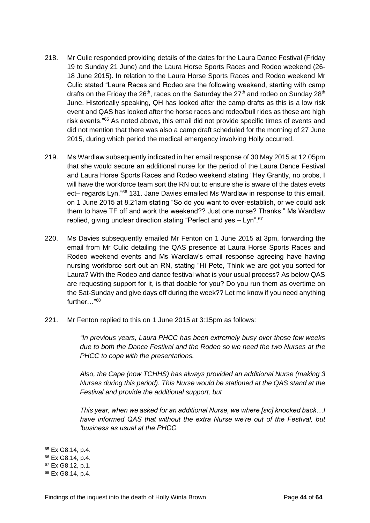- 218. Mr Culic responded providing details of the dates for the Laura Dance Festival (Friday 19 to Sunday 21 June) and the Laura Horse Sports Races and Rodeo weekend (26- 18 June 2015). In relation to the Laura Horse Sports Races and Rodeo weekend Mr Culic stated "Laura Races and Rodeo are the following weekend, starting with camp drafts on the Friday the  $26<sup>th</sup>$ , races on the Saturday the  $27<sup>th</sup>$  and rodeo on Sunday  $28<sup>th</sup>$ June. Historically speaking, QH has looked after the camp drafts as this is a low risk event and QAS has looked after the horse races and rodeo/bull rides as these are high risk events."<sup>65</sup> As noted above, this email did not provide specific times of events and did not mention that there was also a camp draft scheduled for the morning of 27 June 2015, during which period the medical emergency involving Holly occurred.
- 219. Ms Wardlaw subsequently indicated in her email response of 30 May 2015 at 12.05pm that she would secure an additional nurse for the period of the Laura Dance Festival and Laura Horse Sports Races and Rodeo weekend stating "Hey Grantly, no probs, I will have the workforce team sort the RN out to ensure she is aware of the dates evets ect– regards Lyn."<sup>66</sup> 131. Jane Davies emailed Ms Wardlaw in response to this email, on 1 June 2015 at 8.21am stating "So do you want to over-establish, or we could ask them to have TF off and work the weekend?? Just one nurse? Thanks." Ms Wardlaw replied, giving unclear direction stating "Perfect and yes – Lyn".<sup>67</sup>
- 220. Ms Davies subsequently emailed Mr Fenton on 1 June 2015 at 3pm, forwarding the email from Mr Culic detailing the QAS presence at Laura Horse Sports Races and Rodeo weekend events and Ms Wardlaw's email response agreeing have having nursing workforce sort out an RN, stating "Hi Pete, Think we are got you sorted for Laura? With the Rodeo and dance festival what is your usual process? As below QAS are requesting support for it, is that doable for you? Do you run them as overtime on the Sat-Sunday and give days off during the week?? Let me know if you need anything further…"<sup>68</sup>
- 221. Mr Fenton replied to this on 1 June 2015 at 3:15pm as follows:

*"In previous years, Laura PHCC has been extremely busy over those few weeks due to both the Dance Festival and the Rodeo so we need the two Nurses at the PHCC to cope with the presentations.*

*Also, the Cape (now TCHHS) has always provided an additional Nurse (making 3 Nurses during this period). This Nurse would be stationed at the QAS stand at the Festival and provide the additional support, but* 

*This year, when we asked for an additional Nurse, we where [sic] knocked back…I have informed QAS that without the extra Nurse we're out of the Festival, but 'business as usual at the PHCC.* 

<sup>65</sup> Ex G8.14, p.4.

<sup>66</sup> Ex G8.14, p.4.

<sup>67</sup> Ex G8.12, p.1.

<sup>68</sup> Ex G8.14, p.4.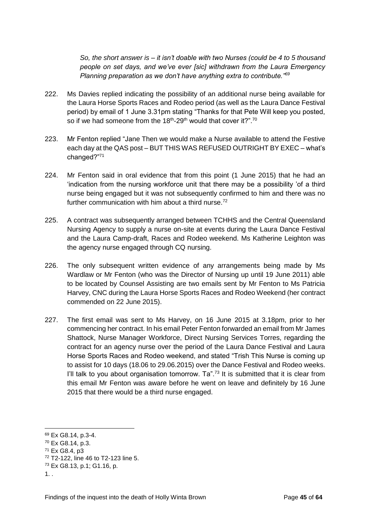*So, the short answer is – it isn't doable with two Nurses (could be 4 to 5 thousand people on set days, and we've ever [sic] withdrawn from the Laura Emergency Planning preparation as we don't have anything extra to contribute."<sup>69</sup>*

- 222. Ms Davies replied indicating the possibility of an additional nurse being available for the Laura Horse Sports Races and Rodeo period (as well as the Laura Dance Festival period) by email of 1 June 3.31pm stating "Thanks for that Pete Will keep you posted, so if we had someone from the 18<sup>th</sup>-29<sup>th</sup> would that cover it?".<sup>70</sup>
- 223. Mr Fenton replied "Jane Then we would make a Nurse available to attend the Festive each day at the QAS post – BUT THIS WAS REFUSED OUTRIGHT BY EXEC – what's changed?"<sup>71</sup>
- 224. Mr Fenton said in oral evidence that from this point (1 June 2015) that he had an 'indication from the nursing workforce unit that there may be a possibility 'of a third nurse being engaged but it was not subsequently confirmed to him and there was no further communication with him about a third nurse.<sup>72</sup>
- 225. A contract was subsequently arranged between TCHHS and the Central Queensland Nursing Agency to supply a nurse on-site at events during the Laura Dance Festival and the Laura Camp-draft, Races and Rodeo weekend. Ms Katherine Leighton was the agency nurse engaged through CQ nursing.
- 226. The only subsequent written evidence of any arrangements being made by Ms Wardlaw or Mr Fenton (who was the Director of Nursing up until 19 June 2011) able to be located by Counsel Assisting are two emails sent by Mr Fenton to Ms Patricia Harvey, CNC during the Laura Horse Sports Races and Rodeo Weekend (her contract commended on 22 June 2015).
- 227. The first email was sent to Ms Harvey, on 16 June 2015 at 3.18pm, prior to her commencing her contract. In his email Peter Fenton forwarded an email from Mr James Shattock, Nurse Manager Workforce, Direct Nursing Services Torres, regarding the contract for an agency nurse over the period of the Laura Dance Festival and Laura Horse Sports Races and Rodeo weekend, and stated "Trish This Nurse is coming up to assist for 10 days (18.06 to 29.06.2015) over the Dance Festival and Rodeo weeks. I'll talk to you about organisation tomorrow. Ta".<sup>73</sup> It is submitted that it is clear from this email Mr Fenton was aware before he went on leave and definitely by 16 June 2015 that there would be a third nurse engaged.

<sup>69</sup> Ex G8.14, p.3-4.

<sup>70</sup> Ex G8.14, p.3.

<sup>71</sup> Ex G8.4, p3

<sup>72</sup> T2-122, line 46 to T2-123 line 5.

<sup>73</sup> Ex G8.13, p.1; G1.16, p.

<sup>1. .</sup>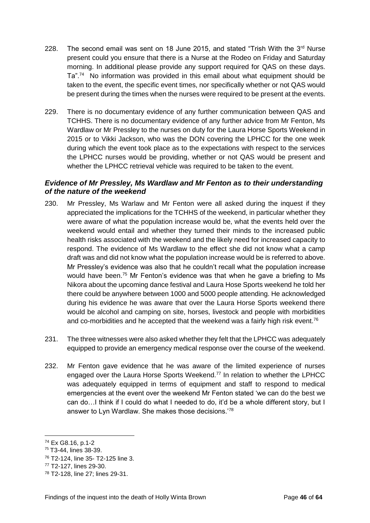- 228. The second email was sent on 18 June 2015, and stated "Trish With the  $3<sup>rd</sup>$  Nurse present could you ensure that there is a Nurse at the Rodeo on Friday and Saturday morning. In additional please provide any support required for QAS on these days. Ta".<sup>74</sup> No information was provided in this email about what equipment should be taken to the event, the specific event times, nor specifically whether or not QAS would be present during the times when the nurses were required to be present at the events.
- 229. There is no documentary evidence of any further communication between QAS and TCHHS. There is no documentary evidence of any further advice from Mr Fenton, Ms Wardlaw or Mr Pressley to the nurses on duty for the Laura Horse Sports Weekend in 2015 or to Vikki Jackson, who was the DON covering the LPHCC for the one week during which the event took place as to the expectations with respect to the services the LPHCC nurses would be providing, whether or not QAS would be present and whether the LPHCC retrieval vehicle was required to be taken to the event.

#### <span id="page-49-0"></span>*Evidence of Mr Pressley, Ms Wardlaw and Mr Fenton as to their understanding of the nature of the weekend*

- 230. Mr Pressley, Ms Warlaw and Mr Fenton were all asked during the inquest if they appreciated the implications for the TCHHS of the weekend, in particular whether they were aware of what the population increase would be, what the events held over the weekend would entail and whether they turned their minds to the increased public health risks associated with the weekend and the likely need for increased capacity to respond. The evidence of Ms Wardlaw to the effect she did not know what a camp draft was and did not know what the population increase would be is referred to above. Mr Pressley's evidence was also that he couldn't recall what the population increase would have been.<sup>75</sup> Mr Fenton's evidence was that when he gave a briefing to Ms Nikora about the upcoming dance festival and Laura Hose Sports weekend he told her there could be anywhere between 1000 and 5000 people attending. He acknowledged during his evidence he was aware that over the Laura Horse Sports weekend there would be alcohol and camping on site, horses, livestock and people with morbidities and co-morbidities and he accepted that the weekend was a fairly high risk event.<sup>76</sup>
- 231. The three witnesses were also asked whether they felt that the LPHCC was adequately equipped to provide an emergency medical response over the course of the weekend.
- 232. Mr Fenton gave evidence that he was aware of the limited experience of nurses engaged over the Laura Horse Sports Weekend.<sup>77</sup> In relation to whether the LPHCC was adequately equipped in terms of equipment and staff to respond to medical emergencies at the event over the weekend Mr Fenton stated 'we can do the best we can do…I think if I could do what I needed to do, it'd be a whole different story, but I answer to Lyn Wardlaw. She makes those decisions.<sup>'78</sup>

<sup>74</sup> Ex G8.16, p.1-2

<sup>75</sup> T3-44, lines 38-39.

<sup>76</sup> T2-124, line 35- T2-125 line 3.

<sup>77</sup> T2-127, lines 29-30.

<sup>78</sup> T2-128, line 27; lines 29-31.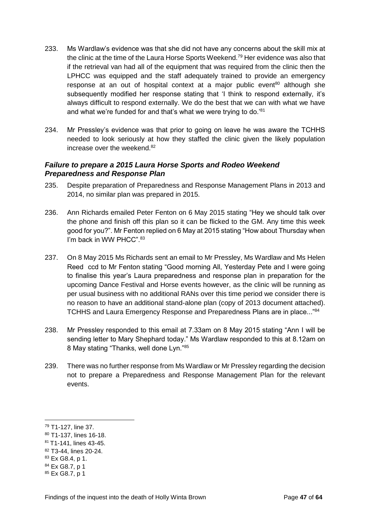- 233. Ms Wardlaw's evidence was that she did not have any concerns about the skill mix at the clinic at the time of the Laura Horse Sports Weekend.<sup>79</sup> Her evidence was also that if the retrieval van had all of the equipment that was required from the clinic then the LPHCC was equipped and the staff adequately trained to provide an emergency response at an out of hospital context at a major public event<sup>80</sup> although she subsequently modified her response stating that 'I think to respond externally, it's always difficult to respond externally. We do the best that we can with what we have and what we're funded for and that's what we were trying to do.'<sup>81</sup>
- 234. Mr Pressley's evidence was that prior to going on leave he was aware the TCHHS needed to look seriously at how they staffed the clinic given the likely population increase over the weekend.<sup>82</sup>

## <span id="page-50-0"></span>*Failure to prepare a 2015 Laura Horse Sports and Rodeo Weekend Preparedness and Response Plan*

- 235. Despite preparation of Preparedness and Response Management Plans in 2013 and 2014, no similar plan was prepared in 2015.
- 236. Ann Richards emailed Peter Fenton on 6 May 2015 stating "Hey we should talk over the phone and finish off this plan so it can be flicked to the GM. Any time this week good for you?". Mr Fenton replied on 6 May at 2015 stating "How about Thursday when I'm back in WW PHCC".<sup>83</sup>
- 237. On 8 May 2015 Ms Richards sent an email to Mr Pressley, Ms Wardlaw and Ms Helen Reed ccd to Mr Fenton stating "Good morning All, Yesterday Pete and I were going to finalise this year's Laura preparedness and response plan in preparation for the upcoming Dance Festival and Horse events however, as the clinic will be running as per usual business with no additional RANs over this time period we consider there is no reason to have an additional stand-alone plan (copy of 2013 document attached). TCHHS and Laura Emergency Response and Preparedness Plans are in place..."<sup>84</sup>
- 238. Mr Pressley responded to this email at 7.33am on 8 May 2015 stating "Ann I will be sending letter to Mary Shephard today." Ms Wardlaw responded to this at 8.12am on 8 May stating "Thanks, well done Lyn."<sup>85</sup>
- 239. There was no further response from Ms Wardlaw or Mr Pressley regarding the decision not to prepare a Preparedness and Response Management Plan for the relevant events.

- <sup>80</sup> T1-137, lines 16-18.
- 81 T1-141, lines 43-45.
- <sup>82</sup> T3-44, lines 20-24.
- <sup>83</sup> Ex G8.4, p 1.
- <sup>84</sup> Ex G8.7, p 1

<sup>79</sup> T1-127, line 37.

<sup>85</sup> Ex G8.7, p 1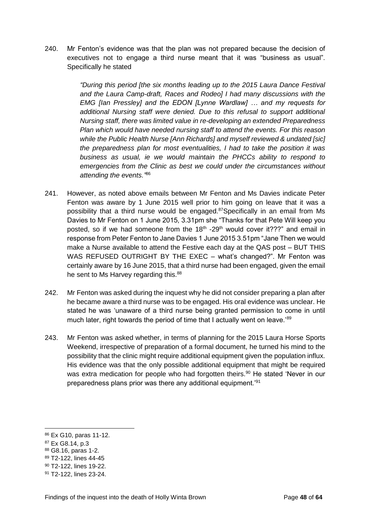240. Mr Fenton's evidence was that the plan was not prepared because the decision of executives not to engage a third nurse meant that it was "business as usual". Specifically he stated

> *"During this period [the six months leading up to the 2015 Laura Dance Festival and the Laura Camp-draft, Races and Rodeo] I had many discussions with the EMG [Ian Pressley] and the EDON [Lynne Wardlaw] … and my requests for additional Nursing staff were denied. Due to this refusal to support additional Nursing staff, there was limited value in re-developing an extended Preparedness Plan which would have needed nursing staff to attend the events. For this reason while the Public Health Nurse [Ann Richards] and myself reviewed & undated [sic] the preparedness plan for most eventualities, I had to take the position it was business as usual, ie we would maintain the PHCCs ability to respond to emergencies from the Clinic as best we could under the circumstances without attending the events."*<sup>86</sup>

- 241. However, as noted above emails between Mr Fenton and Ms Davies indicate Peter Fenton was aware by 1 June 2015 well prior to him going on leave that it was a possibility that a third nurse would be engaged.<sup>87</sup>Specifically in an email from Ms Davies to Mr Fenton on 1 June 2015, 3.31pm she "Thanks for that Pete Will keep you posted, so if we had someone from the 18<sup>th</sup> -29<sup>th</sup> would cover it???" and email in response from Peter Fenton to Jane Davies 1 June 2015 3.51pm "Jane Then we would make a Nurse available to attend the Festive each day at the QAS post – BUT THIS WAS REFUSED OUTRIGHT BY THE EXEC – what's changed?". Mr Fenton was certainly aware by 16 June 2015, that a third nurse had been engaged, given the email he sent to Ms Harvey regarding this.<sup>88</sup>
- 242. Mr Fenton was asked during the inquest why he did not consider preparing a plan after he became aware a third nurse was to be engaged. His oral evidence was unclear. He stated he was 'unaware of a third nurse being granted permission to come in until much later, right towards the period of time that I actually went on leave.<sup>89</sup>
- 243. Mr Fenton was asked whether, in terms of planning for the 2015 Laura Horse Sports Weekend, irrespective of preparation of a formal document, he turned his mind to the possibility that the clinic might require additional equipment given the population influx. His evidence was that the only possible additional equipment that might be required was extra medication for people who had forgotten theirs.<sup>90</sup> He stated 'Never in our preparedness plans prior was there any additional equipment.'<sup>91</sup>

<sup>86</sup> Ex G10, paras 11-12.

<sup>87</sup> Ex G8.14, p.3

<sup>88</sup> G8.16, paras 1-2.

<sup>89</sup> T2-122, lines 44-45

<sup>90</sup> T2-122, lines 19-22.

<sup>91</sup> T2-122, lines 23-24.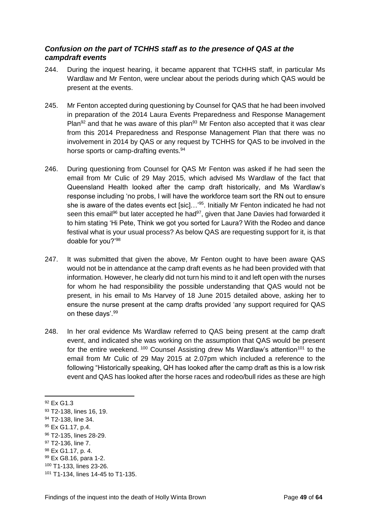## <span id="page-52-0"></span>*Confusion on the part of TCHHS staff as to the presence of QAS at the campdraft events*

- 244. During the inquest hearing, it became apparent that TCHHS staff, in particular Ms Wardlaw and Mr Fenton, were unclear about the periods during which QAS would be present at the events.
- 245. Mr Fenton accepted during questioning by Counsel for QAS that he had been involved in preparation of the 2014 Laura Events Preparedness and Response Management Plan<sup>92</sup> and that he was aware of this plan<sup>93</sup> Mr Fenton also accepted that it was clear from this 2014 Preparedness and Response Management Plan that there was no involvement in 2014 by QAS or any request by TCHHS for QAS to be involved in the horse sports or camp-drafting events.<sup>94</sup>
- 246. During questioning from Counsel for QAS Mr Fenton was asked if he had seen the email from Mr Culic of 29 May 2015, which advised Ms Wardlaw of the fact that Queensland Health looked after the camp draft historically, and Ms Wardlaw's response including 'no probs, I will have the workforce team sort the RN out to ensure she is aware of the dates events ect [sic]...<sup>95</sup>. Initially Mr Fenton indicated he had not seen this email<sup>96</sup> but later accepted he had<sup>97</sup>, given that Jane Davies had forwarded it to him stating 'Hi Pete, Think we got you sorted for Laura? With the Rodeo and dance festival what is your usual process? As below QAS are requesting support for it, is that doable for you?'<sup>98</sup>
- 247. It was submitted that given the above, Mr Fenton ought to have been aware QAS would not be in attendance at the camp draft events as he had been provided with that information. However, he clearly did not turn his mind to it and left open with the nurses for whom he had responsibility the possible understanding that QAS would not be present, in his email to Ms Harvey of 18 June 2015 detailed above, asking her to ensure the nurse present at the camp drafts provided 'any support required for QAS on these days'.<sup>99</sup>
- 248. In her oral evidence Ms Wardlaw referred to QAS being present at the camp draft event, and indicated she was working on the assumption that QAS would be present for the entire weekend.  $100$  Counsel Assisting drew Ms Wardlaw's attention<sup>101</sup> to the email from Mr Culic of 29 May 2015 at 2.07pm which included a reference to the following "Historically speaking, QH has looked after the camp draft as this is a low risk event and QAS has looked after the horse races and rodeo/bull rides as these are high

97 T2-136, line 7.

<sup>99</sup> Ex G8.16, para 1-2.

 $\overline{a}$ <sup>92</sup> Ex G1.3

<sup>93</sup> T2-138, lines 16, 19.

<sup>94</sup> T2-138, line 34.

<sup>95</sup> Ex G1.17, p.4.

<sup>96</sup> T2-135, lines 28-29.

<sup>98</sup> Ex G1.17, p. 4.

<sup>100</sup> T1-133, lines 23-26.

<sup>101</sup> T1-134, lines 14-45 to T1-135.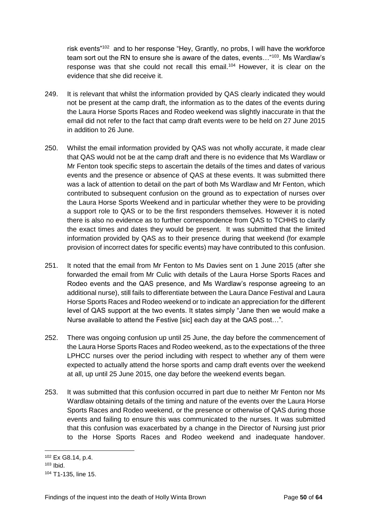risk events"<sup>102</sup> and to her response "Hey, Grantly, no probs, I will have the workforce team sort out the RN to ensure she is aware of the dates, events…"<sup>103</sup>. Ms Wardlaw's response was that she could not recall this email.<sup>104</sup> However, it is clear on the evidence that she did receive it.

- 249. It is relevant that whilst the information provided by QAS clearly indicated they would not be present at the camp draft, the information as to the dates of the events during the Laura Horse Sports Races and Rodeo weekend was slightly inaccurate in that the email did not refer to the fact that camp draft events were to be held on 27 June 2015 in addition to 26 June.
- 250. Whilst the email information provided by QAS was not wholly accurate, it made clear that QAS would not be at the camp draft and there is no evidence that Ms Wardlaw or Mr Fenton took specific steps to ascertain the details of the times and dates of various events and the presence or absence of QAS at these events. It was submitted there was a lack of attention to detail on the part of both Ms Wardlaw and Mr Fenton, which contributed to subsequent confusion on the ground as to expectation of nurses over the Laura Horse Sports Weekend and in particular whether they were to be providing a support role to QAS or to be the first responders themselves. However it is noted there is also no evidence as to further correspondence from QAS to TCHHS to clarify the exact times and dates they would be present. It was submitted that the limited information provided by QAS as to their presence during that weekend (for example provision of incorrect dates for specific events) may have contributed to this confusion.
- 251. It noted that the email from Mr Fenton to Ms Davies sent on 1 June 2015 (after she forwarded the email from Mr Culic with details of the Laura Horse Sports Races and Rodeo events and the QAS presence, and Ms Wardlaw's response agreeing to an additional nurse), still fails to differentiate between the Laura Dance Festival and Laura Horse Sports Races and Rodeo weekend or to indicate an appreciation for the different level of QAS support at the two events. It states simply "Jane then we would make a Nurse available to attend the Festive [sic] each day at the QAS post…".
- 252. There was ongoing confusion up until 25 June, the day before the commencement of the Laura Horse Sports Races and Rodeo weekend, as to the expectations of the three LPHCC nurses over the period including with respect to whether any of them were expected to actually attend the horse sports and camp draft events over the weekend at all, up until 25 June 2015, one day before the weekend events began.
- 253. It was submitted that this confusion occurred in part due to neither Mr Fenton nor Ms Wardlaw obtaining details of the timing and nature of the events over the Laura Horse Sports Races and Rodeo weekend, or the presence or otherwise of QAS during those events and failing to ensure this was communicated to the nurses. It was submitted that this confusion was exacerbated by a change in the Director of Nursing just prior to the Horse Sports Races and Rodeo weekend and inadequate handover.

<sup>102</sup> Ex G8.14, p.4.

 $103$  Ibid.

<sup>104</sup> T1-135, line 15.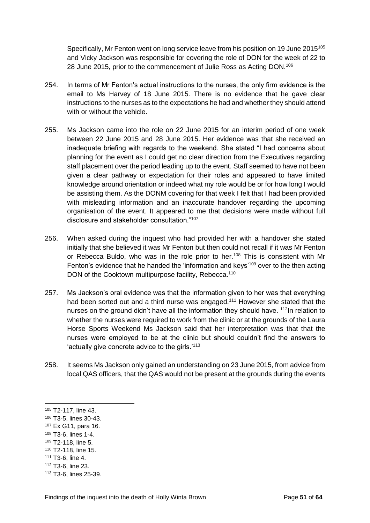Specifically, Mr Fenton went on long service leave from his position on 19 June 2015<sup>105</sup> and Vicky Jackson was responsible for covering the role of DON for the week of 22 to 28 June 2015, prior to the commencement of Julie Ross as Acting DON.<sup>106</sup>

- 254. In terms of Mr Fenton's actual instructions to the nurses, the only firm evidence is the email to Ms Harvey of 18 June 2015. There is no evidence that he gave clear instructions to the nurses as to the expectations he had and whether they should attend with or without the vehicle.
- 255. Ms Jackson came into the role on 22 June 2015 for an interim period of one week between 22 June 2015 and 28 June 2015. Her evidence was that she received an inadequate briefing with regards to the weekend. She stated "I had concerns about planning for the event as I could get no clear direction from the Executives regarding staff placement over the period leading up to the event. Staff seemed to have not been given a clear pathway or expectation for their roles and appeared to have limited knowledge around orientation or indeed what my role would be or for how long I would be assisting them. As the DONM covering for that week I felt that I had been provided with misleading information and an inaccurate handover regarding the upcoming organisation of the event. It appeared to me that decisions were made without full disclosure and stakeholder consultation."<sup>107</sup>
- 256. When asked during the inquest who had provided her with a handover she stated initially that she believed it was Mr Fenton but then could not recall if it was Mr Fenton or Rebecca Buldo, who was in the role prior to her.<sup>108</sup> This is consistent with Mr Fenton's evidence that he handed the 'information and keys'<sup>109</sup> over to the then acting DON of the Cooktown multipurpose facility, Rebecca.<sup>110</sup>
- 257. Ms Jackson's oral evidence was that the information given to her was that everything had been sorted out and a third nurse was engaged.<sup>111</sup> However she stated that the nurses on the ground didn't have all the information they should have. <sup>112</sup>In relation to whether the nurses were required to work from the clinic or at the grounds of the Laura Horse Sports Weekend Ms Jackson said that her interpretation was that that the nurses were employed to be at the clinic but should couldn't find the answers to 'actually give concrete advice to the girls.'<sup>113</sup>
- 258. It seems Ms Jackson only gained an understanding on 23 June 2015, from advice from local QAS officers, that the QAS would not be present at the grounds during the events

- <sup>108</sup> T3-6, lines 1-4.
- <sup>109</sup> T2-118, line 5.
- <sup>110</sup> T2-118, line 15.
- <sup>111</sup> T3-6, line 4.
- <sup>112</sup> T3-6, line 23.

<sup>105</sup> T2-117, line 43.

<sup>106</sup> T3-5, lines 30-43.

<sup>107</sup> Ex G11, para 16.

<sup>113</sup> T3-6, lines 25-39.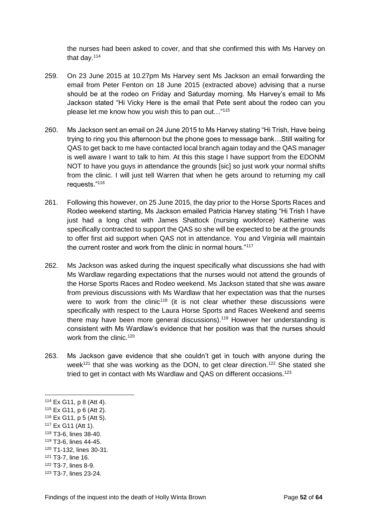the nurses had been asked to cover, and that she confirmed this with Ms Harvey on that day.<sup>114</sup>

- 259. On 23 June 2015 at 10.27pm Ms Harvey sent Ms Jackson an email forwarding the email from Peter Fenton on 18 June 2015 (extracted above) advising that a nurse should be at the rodeo on Friday and Saturday morning. Ms Harvey's email to Ms Jackson stated "Hi Vicky Here is the email that Pete sent about the rodeo can you please let me know how you wish this to pan out…"<sup>115</sup>
- 260. Ms Jackson sent an email on 24 June 2015 to Ms Harvey stating "Hi Trish, Have being trying to ring you this afternoon but the phone goes to message bank…Still waiting for QAS to get back to me have contacted local branch again today and the QAS manager is well aware I want to talk to him. At this this stage I have support from the EDONM NOT to have you guys in attendance the grounds [sic] so just work your normal shifts from the clinic. I will just tell Warren that when he gets around to returning my call requests."<sup>116</sup>
- 261. Following this however, on 25 June 2015, the day prior to the Horse Sports Races and Rodeo weekend starting, Ms Jackson emailed Patricia Harvey stating "Hi Trish I have just had a long chat with James Shattock (nursing workforce) Katherine was specifically contracted to support the QAS so she will be expected to be at the grounds to offer first aid support when QAS not in attendance. You and Virginia will maintain the current roster and work from the clinic in normal hours."<sup>117</sup>
- 262. Ms Jackson was asked during the inquest specifically what discussions she had with Ms Wardlaw regarding expectations that the nurses would not attend the grounds of the Horse Sports Races and Rodeo weekend. Ms Jackson stated that she was aware from previous discussions with Ms Wardlaw that her expectation was that the nurses were to work from the clinic<sup>118</sup> (it is not clear whether these discussions were specifically with respect to the Laura Horse Sports and Races Weekend and seems there may have been more general discussions).<sup>119</sup> However her understanding is consistent with Ms Wardlaw's evidence that her position was that the nurses should work from the clinic.<sup>120</sup>
- 263. Ms Jackson gave evidence that she couldn't get in touch with anyone during the week<sup>121</sup> that she was working as the DON, to get clear direction.<sup>122</sup> She stated she tried to get in contact with Ms Wardlaw and QAS on different occasions.<sup>123</sup>

<sup>117</sup> Ex G11 (Att 1).

- <sup>118</sup> T3-6, lines 38-40.
- <sup>119</sup> T3-6, lines 44-45.

- <sup>121</sup> T3-7, line 16.
- <sup>122</sup> T3-7, lines 8-9.

<sup>114</sup> Ex G11, p 8 (Att 4).

<sup>115</sup> Ex G11, p 6 (Att 2).

<sup>116</sup> Ex G11, p 5 (Att 5).

<sup>120</sup> T1-132, lines 30-31.

<sup>123</sup> T3-7, lines 23-24.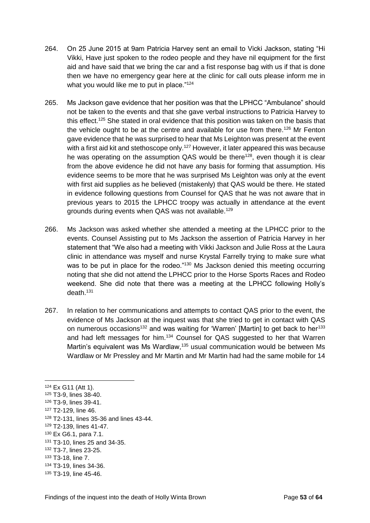- 264. On 25 June 2015 at 9am Patricia Harvey sent an email to Vicki Jackson, stating "Hi Vikki, Have just spoken to the rodeo people and they have nil equipment for the first aid and have said that we bring the car and a fist response bag with us if that is done then we have no emergency gear here at the clinic for call outs please inform me in what you would like me to put in place."<sup>124</sup>
- 265. Ms Jackson gave evidence that her position was that the LPHCC "Ambulance" should not be taken to the events and that she gave verbal instructions to Patricia Harvey to this effect.<sup>125</sup> She stated in oral evidence that this position was taken on the basis that the vehicle ought to be at the centre and available for use from there.<sup>126</sup> Mr Fenton gave evidence that he was surprised to hear that Ms Leighton was present at the event with a first aid kit and stethoscope only.<sup>127</sup> However, it later appeared this was because he was operating on the assumption QAS would be there<sup>128</sup>, even though it is clear from the above evidence he did not have any basis for forming that assumption. His evidence seems to be more that he was surprised Ms Leighton was only at the event with first aid supplies as he believed (mistakenly) that QAS would be there. He stated in evidence following questions from Counsel for QAS that he was not aware that in previous years to 2015 the LPHCC troopy was actually in attendance at the event grounds during events when QAS was not available.<sup>129</sup>
- 266. Ms Jackson was asked whether she attended a meeting at the LPHCC prior to the events. Counsel Assisting put to Ms Jackson the assertion of Patricia Harvey in her statement that "We also had a meeting with Vikki Jackson and Julie Ross at the Laura clinic in attendance was myself and nurse Krystal Farrelly trying to make sure what was to be put in place for the rodeo."<sup>130</sup> Ms Jackson denied this meeting occurring noting that she did not attend the LPHCC prior to the Horse Sports Races and Rodeo weekend. She did note that there was a meeting at the LPHCC following Holly's death.<sup>131</sup>
- 267. In relation to her communications and attempts to contact QAS prior to the event, the evidence of Ms Jackson at the inquest was that she tried to get in contact with QAS on numerous occasions<sup>132</sup> and was waiting for 'Warren' [Martin] to get back to her<sup>133</sup> and had left messages for him.<sup>134</sup> Counsel for QAS suggested to her that Warren Martin's equivalent was Ms Wardlaw,<sup>135</sup> usual communication would be between Ms Wardlaw or Mr Pressley and Mr Martin and Mr Martin had had the same mobile for 14

<sup>124</sup> Ex G11 (Att 1).

<sup>125</sup> T3-9, lines 38-40.

<sup>126</sup> T3-9, lines 39-41.

<sup>127</sup> T2-129, line 46.

<sup>128</sup> T2-131, lines 35-36 and lines 43-44.

<sup>129</sup> T2-139, lines 41-47.

<sup>130</sup> Ex G6.1, para 7.1.

<sup>131</sup> T3-10, lines 25 and 34-35.

<sup>132</sup> T3-7, lines 23-25.

<sup>133</sup> T3-18, line 7.

<sup>134</sup> T3-19, lines 34-36.

<sup>135</sup> T3-19, line 45-46.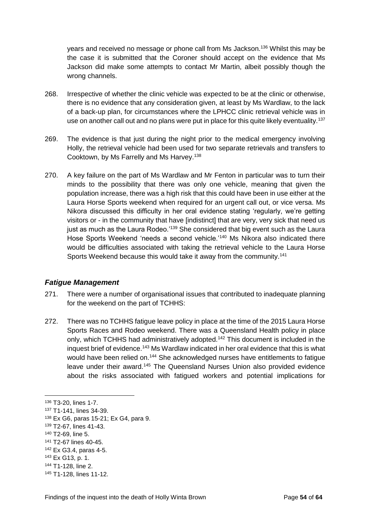years and received no message or phone call from Ms Jackson.<sup>136</sup> Whilst this may be the case it is submitted that the Coroner should accept on the evidence that Ms Jackson did make some attempts to contact Mr Martin, albeit possibly though the wrong channels.

- 268. Irrespective of whether the clinic vehicle was expected to be at the clinic or otherwise, there is no evidence that any consideration given, at least by Ms Wardlaw, to the lack of a back-up plan, for circumstances where the LPHCC clinic retrieval vehicle was in use on another call out and no plans were put in place for this quite likely eventuality.<sup>137</sup>
- 269. The evidence is that just during the night prior to the medical emergency involving Holly, the retrieval vehicle had been used for two separate retrievals and transfers to Cooktown, by Ms Farrelly and Ms Harvey.<sup>138</sup>
- 270. A key failure on the part of Ms Wardlaw and Mr Fenton in particular was to turn their minds to the possibility that there was only one vehicle, meaning that given the population increase, there was a high risk that this could have been in use either at the Laura Horse Sports weekend when required for an urgent call out, or vice versa. Ms Nikora discussed this difficulty in her oral evidence stating 'regularly, we're getting visitors or - in the community that have [indistinct] that are very, very sick that need us just as much as the Laura Rodeo.<sup>'139</sup> She considered that big event such as the Laura Hose Sports Weekend 'needs a second vehicle.'<sup>140</sup> Ms Nikora also indicated there would be difficulties associated with taking the retrieval vehicle to the Laura Horse Sports Weekend because this would take it away from the community.<sup>141</sup>

#### <span id="page-57-0"></span>*Fatigue Management*

- 271. There were a number of organisational issues that contributed to inadequate planning for the weekend on the part of TCHHS:
- 272. There was no TCHHS fatigue leave policy in place at the time of the 2015 Laura Horse Sports Races and Rodeo weekend. There was a Queensland Health policy in place only, which TCHHS had administratively adopted.<sup>142</sup> This document is included in the inquest brief of evidence.<sup>143</sup> Ms Wardlaw indicated in her oral evidence that this is what would have been relied on.<sup>144</sup> She acknowledged nurses have entitlements to fatigue leave under their award.<sup>145</sup> The Queensland Nurses Union also provided evidence about the risks associated with fatigued workers and potential implications for

<sup>136</sup> T3-20, lines 1-7.

<sup>137</sup> T1-141, lines 34-39.

<sup>138</sup> Ex G6, paras 15-21; Ex G4, para 9.

<sup>139</sup> T2-67, lines 41-43.

<sup>140</sup> T2-69, line 5.

<sup>141</sup> T2-67 lines 40-45.

<sup>142</sup> Ex G3.4, paras 4-5.

<sup>143</sup> Ex G13, p. 1.

<sup>144</sup> T1-128, line 2.

<sup>145</sup> T1-128, lines 11-12.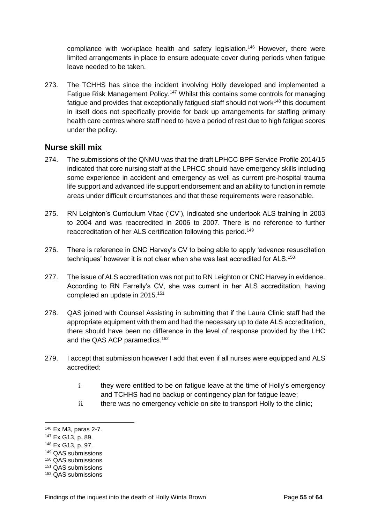compliance with workplace health and safety legislation.<sup>146</sup> However, there were limited arrangements in place to ensure adequate cover during periods when fatigue leave needed to be taken.

273. The TCHHS has since the incident involving Holly developed and implemented a Fatigue Risk Management Policy.<sup>147</sup> Whilst this contains some controls for managing fatigue and provides that exceptionally fatigued staff should not work $148$  this document in itself does not specifically provide for back up arrangements for staffing primary health care centres where staff need to have a period of rest due to high fatigue scores under the policy.

## <span id="page-58-0"></span>**Nurse skill mix**

- 274. The submissions of the QNMU was that the draft LPHCC BPF Service Profile 2014/15 indicated that core nursing staff at the LPHCC should have emergency skills including some experience in accident and emergency as well as current pre-hospital trauma life support and advanced life support endorsement and an ability to function in remote areas under difficult circumstances and that these requirements were reasonable.
- 275. RN Leighton's Curriculum Vitae ('CV'), indicated she undertook ALS training in 2003 to 2004 and was reaccredited in 2006 to 2007. There is no reference to further reaccreditation of her ALS certification following this period.<sup>149</sup>
- 276. There is reference in CNC Harvey's CV to being able to apply 'advance resuscitation techniques' however it is not clear when she was last accredited for ALS.<sup>150</sup>
- 277. The issue of ALS accreditation was not put to RN Leighton or CNC Harvey in evidence. According to RN Farrelly's CV, she was current in her ALS accreditation, having completed an update in 2015.<sup>151</sup>
- 278. QAS joined with Counsel Assisting in submitting that if the Laura Clinic staff had the appropriate equipment with them and had the necessary up to date ALS accreditation, there should have been no difference in the level of response provided by the LHC and the QAS ACP paramedics.<sup>152</sup>
- 279. I accept that submission however I add that even if all nurses were equipped and ALS accredited:
	- i. they were entitled to be on fatigue leave at the time of Holly's emergency and TCHHS had no backup or contingency plan for fatigue leave;
	- ii. there was no emergency vehicle on site to transport Holly to the clinic;

<sup>146</sup> Ex M3, paras 2-7.

<sup>147</sup> Ex G13, p. 89.

<sup>148</sup> Ex G13, p. 97.

<sup>149</sup> QAS submissions

<sup>150</sup> QAS submissions

<sup>151</sup> QAS submissions

<sup>152</sup> QAS submissions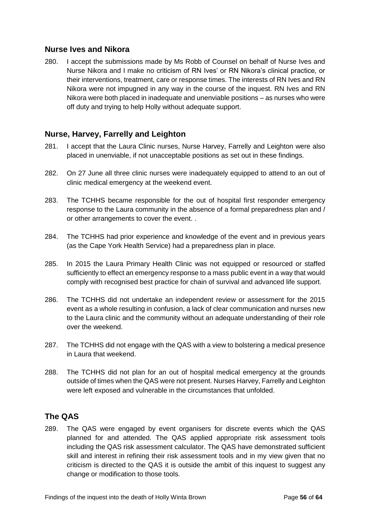## <span id="page-59-0"></span>**Nurse Ives and Nikora**

280. I accept the submissions made by Ms Robb of Counsel on behalf of Nurse Ives and Nurse Nikora and I make no criticism of RN Ives' or RN Nikora's clinical practice, or their interventions, treatment, care or response times. The interests of RN Ives and RN Nikora were not impugned in any way in the course of the inquest. RN Ives and RN Nikora were both placed in inadequate and unenviable positions – as nurses who were off duty and trying to help Holly without adequate support.

## <span id="page-59-1"></span>**Nurse, Harvey, Farrelly and Leighton**

- 281. I accept that the Laura Clinic nurses, Nurse Harvey, Farrelly and Leighton were also placed in unenviable, if not unacceptable positions as set out in these findings.
- 282. On 27 June all three clinic nurses were inadequately equipped to attend to an out of clinic medical emergency at the weekend event.
- 283. The TCHHS became responsible for the out of hospital first responder emergency response to the Laura community in the absence of a formal preparedness plan and / or other arrangements to cover the event. .
- 284. The TCHHS had prior experience and knowledge of the event and in previous years (as the Cape York Health Service) had a preparedness plan in place.
- 285. In 2015 the Laura Primary Health Clinic was not equipped or resourced or staffed sufficiently to effect an emergency response to a mass public event in a way that would comply with recognised best practice for chain of survival and advanced life support.
- 286. The TCHHS did not undertake an independent review or assessment for the 2015 event as a whole resulting in confusion, a lack of clear communication and nurses new to the Laura clinic and the community without an adequate understanding of their role over the weekend.
- 287. The TCHHS did not engage with the QAS with a view to bolstering a medical presence in Laura that weekend.
- 288. The TCHHS did not plan for an out of hospital medical emergency at the grounds outside of times when the QAS were not present. Nurses Harvey, Farrelly and Leighton were left exposed and vulnerable in the circumstances that unfolded.

## <span id="page-59-2"></span>**The QAS**

289. The QAS were engaged by event organisers for discrete events which the QAS planned for and attended. The QAS applied appropriate risk assessment tools including the QAS risk assessment calculator. The QAS have demonstrated sufficient skill and interest in refining their risk assessment tools and in my view given that no criticism is directed to the QAS it is outside the ambit of this inquest to suggest any change or modification to those tools.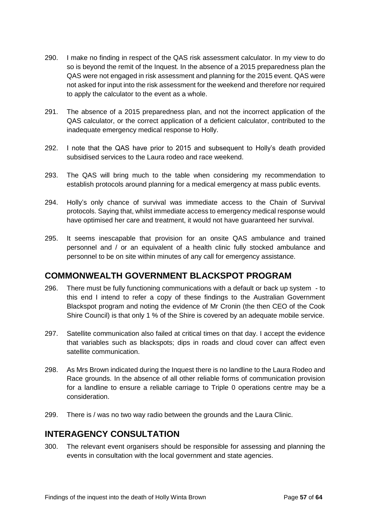- 290. I make no finding in respect of the QAS risk assessment calculator. In my view to do so is beyond the remit of the Inquest. In the absence of a 2015 preparedness plan the QAS were not engaged in risk assessment and planning for the 2015 event. QAS were not asked for input into the risk assessment for the weekend and therefore nor required to apply the calculator to the event as a whole.
- 291. The absence of a 2015 preparedness plan, and not the incorrect application of the QAS calculator, or the correct application of a deficient calculator, contributed to the inadequate emergency medical response to Holly.
- 292. I note that the QAS have prior to 2015 and subsequent to Holly's death provided subsidised services to the Laura rodeo and race weekend.
- 293. The QAS will bring much to the table when considering my recommendation to establish protocols around planning for a medical emergency at mass public events.
- 294. Holly's only chance of survival was immediate access to the Chain of Survival protocols. Saying that, whilst immediate access to emergency medical response would have optimised her care and treatment, it would not have guaranteed her survival.
- 295. It seems inescapable that provision for an onsite QAS ambulance and trained personnel and / or an equivalent of a health clinic fully stocked ambulance and personnel to be on site within minutes of any call for emergency assistance.

# <span id="page-60-0"></span>**COMMONWEALTH GOVERNMENT BLACKSPOT PROGRAM**

- 296. There must be fully functioning communications with a default or back up system to this end I intend to refer a copy of these findings to the Australian Government Blackspot program and noting the evidence of Mr Cronin (the then CEO of the Cook Shire Council) is that only 1 % of the Shire is covered by an adequate mobile service.
- 297. Satellite communication also failed at critical times on that day. I accept the evidence that variables such as blackspots; dips in roads and cloud cover can affect even satellite communication.
- 298. As Mrs Brown indicated during the Inquest there is no landline to the Laura Rodeo and Race grounds. In the absence of all other reliable forms of communication provision for a landline to ensure a reliable carriage to Triple 0 operations centre may be a consideration.
- 299. There is / was no two way radio between the grounds and the Laura Clinic.

# <span id="page-60-1"></span>**INTERAGENCY CONSULTATION**

300. The relevant event organisers should be responsible for assessing and planning the events in consultation with the local government and state agencies.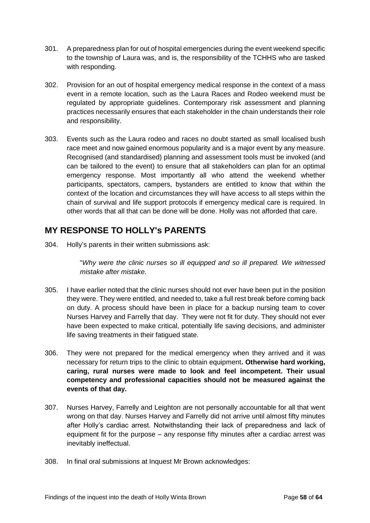- 301. A preparedness plan for out of hospital emergencies during the event weekend specific to the township of Laura was, and is, the responsibility of the TCHHS who are tasked with responding.
- 302. Provision for an out of hospital emergency medical response in the context of a mass event in a remote location, such as the Laura Races and Rodeo weekend must be regulated by appropriate guidelines. Contemporary risk assessment and planning practices necessarily ensures that each stakeholder in the chain understands their role and responsibility.
- 303. Events such as the Laura rodeo and races no doubt started as small localised bush race meet and now gained enormous popularity and is a major event by any measure. Recognised (and standardised) planning and assessment tools must be invoked (and can be tailored to the event) to ensure that all stakeholders can plan for an optimal emergency response. Most importantly all who attend the weekend whether participants, spectators, campers, bystanders are entitled to know that within the context of the location and circumstances they will have access to all steps within the chain of survival and life support protocols if emergency medical care is required. In other words that all that can be done will be done. Holly was not afforded that care.

# <span id="page-61-0"></span>**MY RESPONSE TO HOLLY's PARENTS**

304. Holly's parents in their written submissions ask:

"*Why were the clinic nurses so ill equipped and so ill prepared. We witnessed mistake after mistake.* 

- 305. I have earlier noted that the clinic nurses should not ever have been put in the position they were. They were entitled, and needed to, take a full rest break before coming back on duty. A process should have been in place for a backup nursing team to cover Nurses Harvey and Farrelly that day. They were not fit for duty. They should not ever have been expected to make critical, potentially life saving decisions, and administer life saving treatments in their fatigued state.
- 306. They were not prepared for the medical emergency when they arrived and it was necessary for return trips to the clinic to obtain equipment**. Otherwise hard working, caring, rural nurses were made to look and feel incompetent. Their usual competency and professional capacities should not be measured against the events of that day.**
- 307. Nurses Harvey, Farrelly and Leighton are not personally accountable for all that went wrong on that day. Nurses Harvey and Farrelly did not arrive until almost fifty minutes after Holly's cardiac arrest. Notwithstanding their lack of preparedness and lack of equipment fit for the purpose – any response fifty minutes after a cardiac arrest was inevitably ineffectual.
- 308. In final oral submissions at Inquest Mr Brown acknowledges: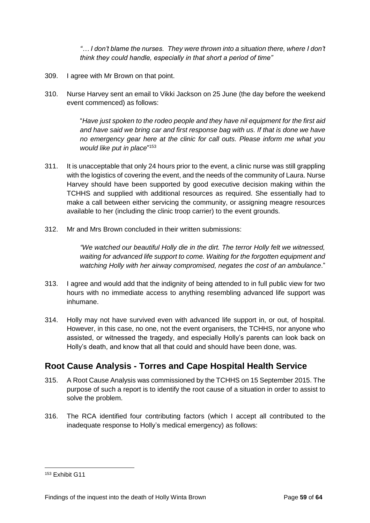*"… I don't blame the nurses. They were thrown into a situation there, where I don't think they could handle, especially in that short a period of time"*

- 309. I agree with Mr Brown on that point.
- 310. Nurse Harvey sent an email to Vikki Jackson on 25 June (the day before the weekend event commenced) as follows:

"*Have just spoken to the rodeo people and they have nil equipment for the first aid and have said we bring car and first response bag with us. If that is done we have no emergency gear here at the clinic for call outs. Please inform me what you would like put in place*" 153

- 311. It is unacceptable that only 24 hours prior to the event, a clinic nurse was still grappling with the logistics of covering the event, and the needs of the community of Laura. Nurse Harvey should have been supported by good executive decision making within the TCHHS and supplied with additional resources as required. She essentially had to make a call between either servicing the community, or assigning meagre resources available to her (including the clinic troop carrier) to the event grounds.
- 312. Mr and Mrs Brown concluded in their written submissions:

*"We watched our beautiful Holly die in the dirt. The terror Holly felt we witnessed, waiting for advanced life support to come. Waiting for the forgotten equipment and watching Holly with her airway compromised, negates the cost of an ambulance*."

- 313. I agree and would add that the indignity of being attended to in full public view for two hours with no immediate access to anything resembling advanced life support was inhumane.
- 314. Holly may not have survived even with advanced life support in, or out, of hospital. However, in this case, no one, not the event organisers, the TCHHS, nor anyone who assisted, or witnessed the tragedy, and especially Holly's parents can look back on Holly's death, and know that all that could and should have been done, was.

# <span id="page-62-0"></span>**Root Cause Analysis - Torres and Cape Hospital Health Service**

- 315. A Root Cause Analysis was commissioned by the TCHHS on 15 September 2015. The purpose of such a report is to identify the root cause of a situation in order to assist to solve the problem.
- 316. The RCA identified four contributing factors (which I accept all contributed to the inadequate response to Holly's medical emergency) as follows:

<sup>153</sup> Exhibit G11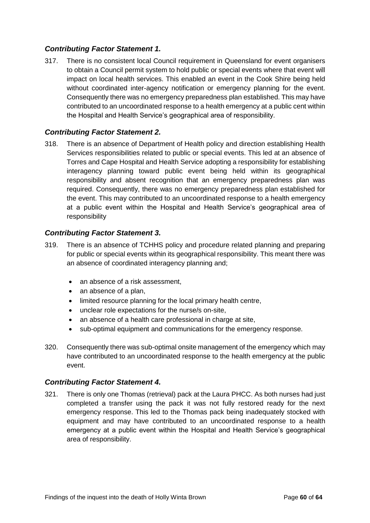## <span id="page-63-0"></span>*Contributing Factor Statement 1.*

317. There is no consistent local Council requirement in Queensland for event organisers to obtain a Council permit system to hold public or special events where that event will impact on local health services. This enabled an event in the Cook Shire being held without coordinated inter-agency notification or emergency planning for the event. Consequently there was no emergency preparedness plan established. This may have contributed to an uncoordinated response to a health emergency at a public cent within the Hospital and Health Service's geographical area of responsibility.

#### <span id="page-63-1"></span>*Contributing Factor Statement 2.*

318. There is an absence of Department of Health policy and direction establishing Health Services responsibilities related to public or special events. This led at an absence of Torres and Cape Hospital and Health Service adopting a responsibility for establishing interagency planning toward public event being held within its geographical responsibility and absent recognition that an emergency preparedness plan was required. Consequently, there was no emergency preparedness plan established for the event. This may contributed to an uncoordinated response to a health emergency at a public event within the Hospital and Health Service's geographical area of responsibility

#### <span id="page-63-2"></span>*Contributing Factor Statement 3.*

- 319. There is an absence of TCHHS policy and procedure related planning and preparing for public or special events within its geographical responsibility. This meant there was an absence of coordinated interagency planning and;
	- an absence of a risk assessment,
	- an absence of a plan,
	- limited resource planning for the local primary health centre,
	- unclear role expectations for the nurse/s on-site,
	- an absence of a health care professional in charge at site,
	- sub-optimal equipment and communications for the emergency response.
- 320. Consequently there was sub-optimal onsite management of the emergency which may have contributed to an uncoordinated response to the health emergency at the public event.

#### <span id="page-63-3"></span>*Contributing Factor Statement 4.*

321. There is only one Thomas (retrieval) pack at the Laura PHCC. As both nurses had just completed a transfer using the pack it was not fully restored ready for the next emergency response. This led to the Thomas pack being inadequately stocked with equipment and may have contributed to an uncoordinated response to a health emergency at a public event within the Hospital and Health Service's geographical area of responsibility.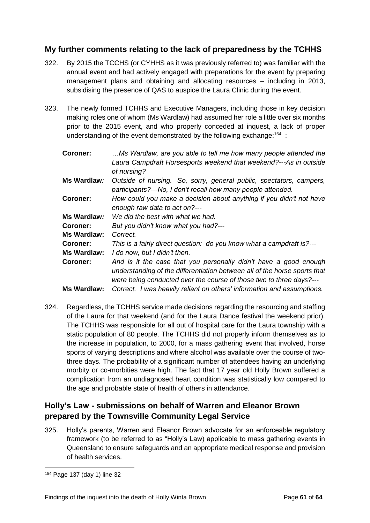# <span id="page-64-0"></span>**My further comments relating to the lack of preparedness by the TCHHS**

- 322. By 2015 the TCCHS (or CYHHS as it was previously referred to) was familiar with the annual event and had actively engaged with preparations for the event by preparing management plans and obtaining and allocating resources – including in 2013, subsidising the presence of QAS to auspice the Laura Clinic during the event.
- 323. The newly formed TCHHS and Executive Managers, including those in key decision making roles one of whom (Ms Wardlaw) had assumed her role a little over six months prior to the 2015 event, and who properly conceded at inquest, a lack of proper understanding of the event demonstrated by the following exchange: $154$ :

| Coroner:           | Ms Wardlaw, are you able to tell me how many people attended the<br>Laura Campdraft Horsesports weekend that weekend?---As in outside<br>of nursing?                                                                 |  |
|--------------------|----------------------------------------------------------------------------------------------------------------------------------------------------------------------------------------------------------------------|--|
| Ms Wardlaw:        | Outside of nursing. So, sorry, general public, spectators, campers,<br>participants?---No, I don't recall how many people attended.                                                                                  |  |
| <b>Coroner:</b>    | How could you make a decision about anything if you didn't not have<br>enough raw data to act on?---                                                                                                                 |  |
| Ms Wardlaw:        | We did the best with what we had.                                                                                                                                                                                    |  |
| <b>Coroner:</b>    | But you didn't know what you had?---                                                                                                                                                                                 |  |
| <b>Ms Wardlaw:</b> | Correct.                                                                                                                                                                                                             |  |
| <b>Coroner:</b>    | This is a fairly direct question: do you know what a campdraft is?---                                                                                                                                                |  |
| <b>Ms Wardlaw:</b> | I do now, but I didn't then.                                                                                                                                                                                         |  |
| <b>Coroner:</b>    | And is it the case that you personally didn't have a good enough<br>understanding of the differentiation between all of the horse sports that<br>were being conducted over the course of those two to three days?--- |  |
| <b>Ms Wardlaw:</b> | Correct. I was heavily reliant on others' information and assumptions.                                                                                                                                               |  |

324. Regardless, the TCHHS service made decisions regarding the resourcing and staffing of the Laura for that weekend (and for the Laura Dance festival the weekend prior). The TCHHS was responsible for all out of hospital care for the Laura township with a static population of 80 people. The TCHHS did not properly inform themselves as to the increase in population, to 2000, for a mass gathering event that involved, horse sports of varying descriptions and where alcohol was available over the course of twothree days. The probability of a significant number of attendees having an underlying morbity or co-morbities were high. The fact that 17 year old Holly Brown suffered a complication from an undiagnosed heart condition was statistically low compared to the age and probable state of health of others in attendance.

# <span id="page-64-1"></span>**Holly's Law - submissions on behalf of Warren and Eleanor Brown prepared by the Townsville Community Legal Service**

325. Holly's parents, Warren and Eleanor Brown advocate for an enforceable regulatory framework (to be referred to as "Holly's Law) applicable to mass gathering events in Queensland to ensure safeguards and an appropriate medical response and provision of health services.

l <sup>154</sup> Page 137 (day 1) line 32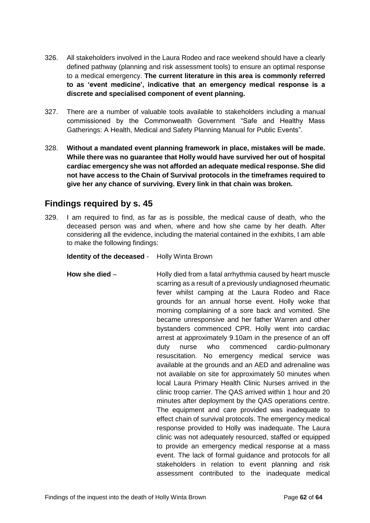- 326. All stakeholders involved in the Laura Rodeo and race weekend should have a clearly defined pathway (planning and risk assessment tools) to ensure an optimal response to a medical emergency. **The current literature in this area is commonly referred to as 'event medicine', indicative that an emergency medical response is a discrete and specialised component of event planning.**
- 327. There are a number of valuable tools available to stakeholders including a manual commissioned by the Commonwealth Government "Safe and Healthy Mass Gatherings: A Health, Medical and Safety Planning Manual for Public Events".
- 328. **Without a mandated event planning framework in place, mistakes will be made. While there was no guarantee that Holly would have survived her out of hospital cardiac emergency she was not afforded an adequate medical response. She did not have access to the Chain of Survival protocols in the timeframes required to give her any chance of surviving. Every link in that chain was broken.**

# <span id="page-65-0"></span>**Findings required by s. 45**

329. I am required to find, as far as is possible, the medical cause of death, who the deceased person was and when, where and how she came by her death. After considering all the evidence, including the material contained in the exhibits, I am able to make the following findings:

<span id="page-65-1"></span>

| Identity of the deceased - | Holly Winta Brown |
|----------------------------|-------------------|
|----------------------------|-------------------|

<span id="page-65-2"></span>**How she died** – **Holly died from a fatal arrhythmia caused by heart muscle** scarring as a result of a previously undiagnosed rheumatic fever whilst camping at the Laura Rodeo and Race grounds for an annual horse event. Holly woke that morning complaining of a sore back and vomited. She became unresponsive and her father Warren and other bystanders commenced CPR. Holly went into cardiac arrest at approximately 9.10am in the presence of an off duty nurse who commenced cardio-pulmonary resuscitation. No emergency medical service was available at the grounds and an AED and adrenaline was not available on site for approximately 50 minutes when local Laura Primary Health Clinic Nurses arrived in the clinic troop carrier. The QAS arrived within 1 hour and 20 minutes after deployment by the QAS operations centre. The equipment and care provided was inadequate to effect chain of survival protocols. The emergency medical response provided to Holly was inadequate. The Laura clinic was not adequately resourced, staffed or equipped to provide an emergency medical response at a mass event. The lack of formal guidance and protocols for all stakeholders in relation to event planning and risk assessment contributed to the inadequate medical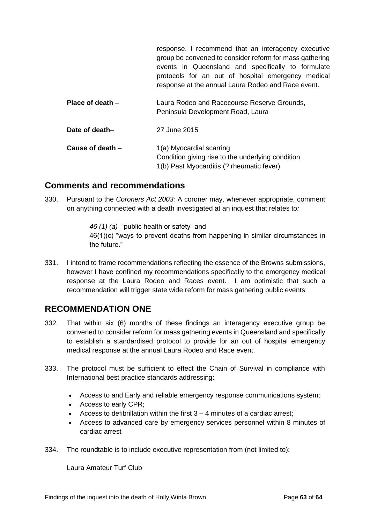response. I recommend that an interagency executive group be convened to consider reform for mass gathering events in Queensland and specifically to formulate protocols for an out of hospital emergency medical response at the annual Laura Rodeo and Race event.

- <span id="page-66-0"></span>**Place of death** – **Laura Rodeo and Racecourse Reserve Grounds,** Peninsula Development Road, Laura **Date of death–** 27 June 2015
- <span id="page-66-2"></span><span id="page-66-1"></span>**Cause of death** – 1(a) Myocardial scarring Condition giving rise to the underlying condition 1(b) Past Myocarditis (? rheumatic fever)

# <span id="page-66-3"></span>**Comments and recommendations**

330. Pursuant to the *Coroners Act 2003:* A coroner may, whenever appropriate, comment on anything connected with a death investigated at an inquest that relates to*:*

> *46 (1) (a)* "public health or safety" and 46(1)(c) "ways to prevent deaths from happening in similar circumstances in the future."

331. I intend to frame recommendations reflecting the essence of the Browns submissions, however I have confined my recommendations specifically to the emergency medical response at the Laura Rodeo and Races event. I am optimistic that such a recommendation will trigger state wide reform for mass gathering public events

# <span id="page-66-4"></span>**RECOMMENDATION ONE**

- 332. That within six (6) months of these findings an interagency executive group be convened to consider reform for mass gathering events in Queensland and specifically to establish a standardised protocol to provide for an out of hospital emergency medical response at the annual Laura Rodeo and Race event.
- 333. The protocol must be sufficient to effect the Chain of Survival in compliance with International best practice standards addressing:
	- Access to and Early and reliable emergency response communications system;
	- Access to early CPR;
	- Access to defibrillation within the first  $3 4$  minutes of a cardiac arrest;
	- Access to advanced care by emergency services personnel within 8 minutes of cardiac arrest
- 334. The roundtable is to include executive representation from (not limited to):

Laura Amateur Turf Club